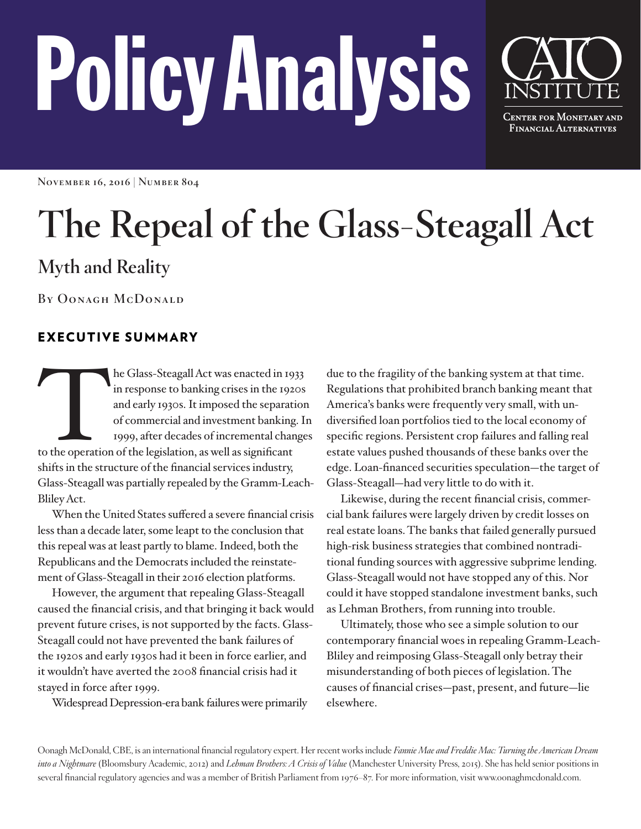# PolicyAnalysis



**November 16, 2016 | Number 804**

## **The Repeal of the Glass-Steagall Act**

### **Myth and Reality**

**By Oonagh McDonald**

#### EXECUTIVE SUMMARY

the Glass-Steagall Act was enacted in 1933<br>
in response to banking crises in the 1920s<br>
and early 1930s. It imposed the separation<br>
of commercial and investment banking. I<br>
1999, after decades of incremental change<br>
to the in response to banking crises in the 1920s and early 1930s. It imposed the separation of commercial and investment banking. In 1999, after decades of incremental changes shifts in the structure of the financial services industry, Glass-Steagall was partially repealed by the Gramm-Leach-Bliley Act.

When the United States suffered a severe financial crisis less than a decade later, some leapt to the conclusion that this repeal was at least partly to blame. Indeed, both the Republicans and the Democrats included the reinstatement of Glass-Steagall in their 2016 election platforms.

However, the argument that repealing Glass-Steagall caused the financial crisis, and that bringing it back would prevent future crises, is not supported by the facts. Glass-Steagall could not have prevented the bank failures of the 1920s and early 1930s had it been in force earlier, and it wouldn't have averted the 2008 financial crisis had it stayed in force after 1999.

Widespread Depression-era bank failures were primarily

due to the fragility of the banking system at that time. Regulations that prohibited branch banking meant that America's banks were frequently very small, with undiversified loan portfolios tied to the local economy of specific regions. Persistent crop failures and falling real estate values pushed thousands of these banks over the edge. Loan-financed securities speculation—the target of Glass-Steagall—had very little to do with it.

Likewise, during the recent financial crisis, commercial bank failures were largely driven by credit losses on real estate loans. The banks that failed generally pursued high-risk business strategies that combined nontraditional funding sources with aggressive subprime lending. Glass-Steagall would not have stopped any of this. Nor could it have stopped standalone investment banks, such as Lehman Brothers, from running into trouble.

Ultimately, those who see a simple solution to our contemporary financial woes in repealing Gramm-Leach-Bliley and reimposing Glass-Steagall only betray their misunderstanding of both pieces of legislation. The causes of financial crises—past, present, and future—lie elsewhere.

Oonagh McDonald, CBE, is an international financial regulatory expert. Her recent works include *Fannie Mae and Freddie Mac: Turning the American Dream into a Nightmare* (Bloomsbury Academic, 2012) and *Lehman Brothers: A Crisis of Value* (Manchester University Press, 2015). She has held senior positions in several financial regulatory agencies and was a member of British Parliament from 1976–87. For more information, visit www.oonaghmcdonald.com.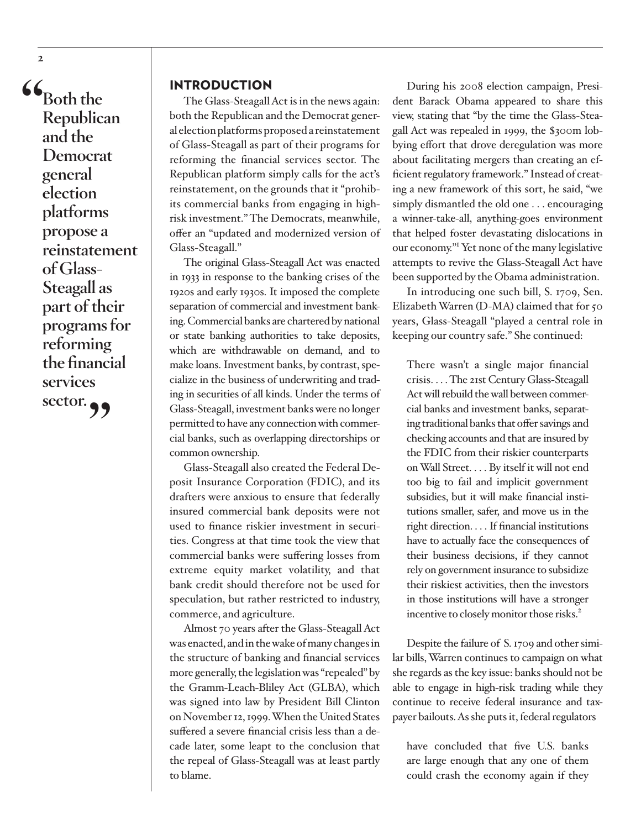**"Both the Republican and the Democrat general election platforms propose a reinstatement of Glass-Steagall as part of their programs for reforming the financial services sector."**

**2**

#### INTRODUCTION

The Glass-Steagall Act is in the news again: both the Republican and the Democrat general election platforms proposed a reinstatement of Glass-Steagall as part of their programs for reforming the financial services sector. The Republican platform simply calls for the act's reinstatement, on the grounds that it "prohibits commercial banks from engaging in highrisk investment." The Democrats, meanwhile, offer an "updated and modernized version of Glass-Steagall."

The original Glass-Steagall Act was enacted in 1933 in response to the banking crises of the 1920s and early 1930s. It imposed the complete separation of commercial and investment banking. Commercial banks are chartered by national or state banking authorities to take deposits, which are withdrawable on demand, and to make loans. Investment banks, by contrast, specialize in the business of underwriting and trading in securities of all kinds. Under the terms of Glass-Steagall, investment banks were no longer permitted to have any connection with commercial banks, such as overlapping directorships or common ownership.

Glass-Steagall also created the Federal Deposit Insurance Corporation (FDIC), and its drafters were anxious to ensure that federally insured commercial bank deposits were not used to finance riskier investment in securities. Congress at that time took the view that commercial banks were suffering losses from extreme equity market volatility, and that bank credit should therefore not be used for speculation, but rather restricted to industry, commerce, and agriculture.

Almost 70 years after the Glass-Steagall Act was enacted, and in the wake of many changes in the structure of banking and financial services more generally, the legislation was "repealed" by the Gramm-Leach-Bliley Act (GLBA), which was signed into law by President Bill Clinton on November 12, 1999. When the United States suffered a severe financial crisis less than a decade later, some leapt to the conclusion that the repeal of Glass-Steagall was at least partly to blame.

During his 2008 election campaign, President Barack Obama appeared to share this view, stating that "by the time the Glass-Steagall Act was repealed in 1999, the \$300m lobbying effort that drove deregulation was more about facilitating mergers than creating an efficient regulatory framework." Instead of creating a new framework of this sort, he said, "we simply dismantled the old one . . . encouraging a winner-take-all, anything-goes environment that helped foster devastating dislocations in our economy."1 Yet none of the many legislative attempts to revive the Glass-Steagall Act have been supported by the Obama administration.

In introducing one such bill, S. 1709, Sen. Elizabeth Warren (D-MA) claimed that for 50 years, Glass-Steagall "played a central role in keeping our country safe." She continued:

There wasn't a single major financial crisis. . . . The 21st Century Glass-Steagall Act will rebuild the wall between commercial banks and investment banks, separating traditional banks that offer savings and checking accounts and that are insured by the FDIC from their riskier counterparts on Wall Street. . . . By itself it will not end too big to fail and implicit government subsidies, but it will make financial institutions smaller, safer, and move us in the right direction. . . . If financial institutions have to actually face the consequences of their business decisions, if they cannot rely on government insurance to subsidize their riskiest activities, then the investors in those institutions will have a stronger incentive to closely monitor those risks.<sup>2</sup>

Despite the failure of S. 1709 and other similar bills, Warren continues to campaign on what she regards as the key issue: banks should not be able to engage in high-risk trading while they continue to receive federal insurance and taxpayer bailouts. As she puts it, federal regulators

have concluded that five U.S. banks are large enough that any one of them could crash the economy again if they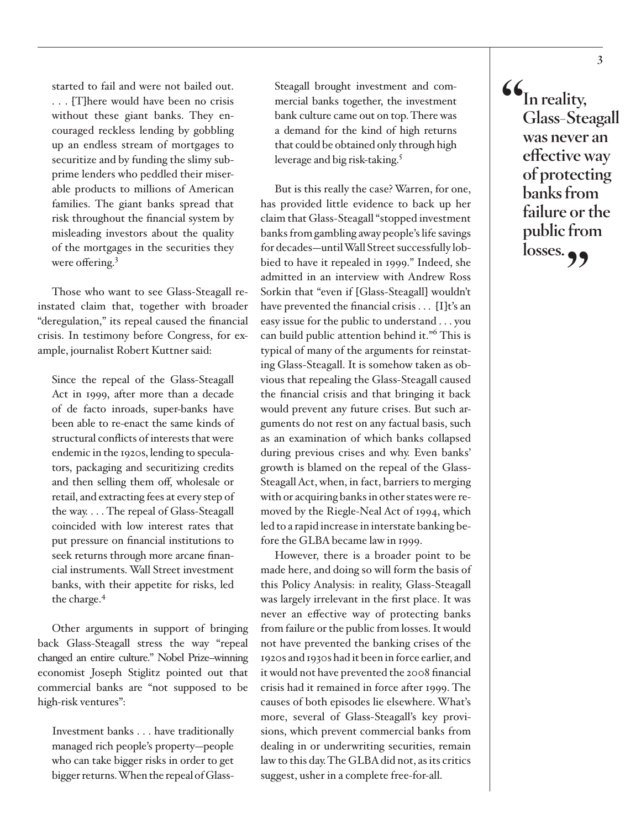started to fail and were not bailed out. . . . [T]here would have been no crisis without these giant banks. They encouraged reckless lending by gobbling up an endless stream of mortgages to securitize and by funding the slimy subprime lenders who peddled their miserable products to millions of American families. The giant banks spread that risk throughout the financial system by misleading investors about the quality of the mortgages in the securities they were offering.<sup>3</sup>

Those who want to see Glass-Steagall reinstated claim that, together with broader "deregulation," its repeal caused the financial crisis. In testimony before Congress, for example, journalist Robert Kuttner said:

Since the repeal of the Glass-Steagall Act in 1999, after more than a decade of de facto inroads, super-banks have been able to re-enact the same kinds of structural conflicts of interests that were endemic in the 1920s, lending to speculators, packaging and securitizing credits and then selling them off, wholesale or retail, and extracting fees at every step of the way. . . . The repeal of Glass-Steagall coincided with low interest rates that put pressure on financial institutions to seek returns through more arcane financial instruments. Wall Street investment banks, with their appetite for risks, led the charge.4

Other arguments in support of bringing back Glass-Steagall stress the way "repeal changed an entire culture." Nobel Prize–winning economist Joseph Stiglitz pointed out that commercial banks are "not supposed to be high-risk ventures":

Investment banks . . . have traditionally managed rich people's property—people who can take bigger risks in order to get bigger returns. When the repeal of GlassSteagall brought investment and commercial banks together, the investment bank culture came out on top. There was a demand for the kind of high returns that could be obtained only through high leverage and big risk-taking.5

But is this really the case? Warren, for one, has provided little evidence to back up her claim that Glass-Steagall "stopped investment banks from gambling away people's life savings for decades—until Wall Street successfully lobbied to have it repealed in 1999." Indeed, she admitted in an interview with Andrew Ross Sorkin that "even if [Glass-Steagall] wouldn't have prevented the financial crisis . . . [I]t's an easy issue for the public to understand . . . you can build public attention behind it."<sup>6</sup> This is typical of many of the arguments for reinstating Glass-Steagall. It is somehow taken as obvious that repealing the Glass-Steagall caused the financial crisis and that bringing it back would prevent any future crises. But such arguments do not rest on any factual basis, such as an examination of which banks collapsed during previous crises and why. Even banks' growth is blamed on the repeal of the Glass-Steagall Act, when, in fact, barriers to merging with or acquiring banks in other states were removed by the Riegle-Neal Act of 1994, which led to a rapid increase in interstate banking before the GLBA became law in 1999.

However, there is a broader point to be made here, and doing so will form the basis of this Policy Analysis: in reality, Glass-Steagall was largely irrelevant in the first place. It was never an effective way of protecting banks from failure or the public from losses. It would not have prevented the banking crises of the 1920s and 1930s had it been in force earlier, and it would not have prevented the 2008 financial crisis had it remained in force after 1999. The causes of both episodes lie elsewhere. What's more, several of Glass-Steagall's key provisions, which prevent commercial banks from dealing in or underwriting securities, remain law to this day. The GLBA did not, as its critics suggest, usher in a complete free-for-all.

**"In reality, Glass-Steagall was never an effective way of protecting banks from failure or the public from**  losses.<sub>??</sub>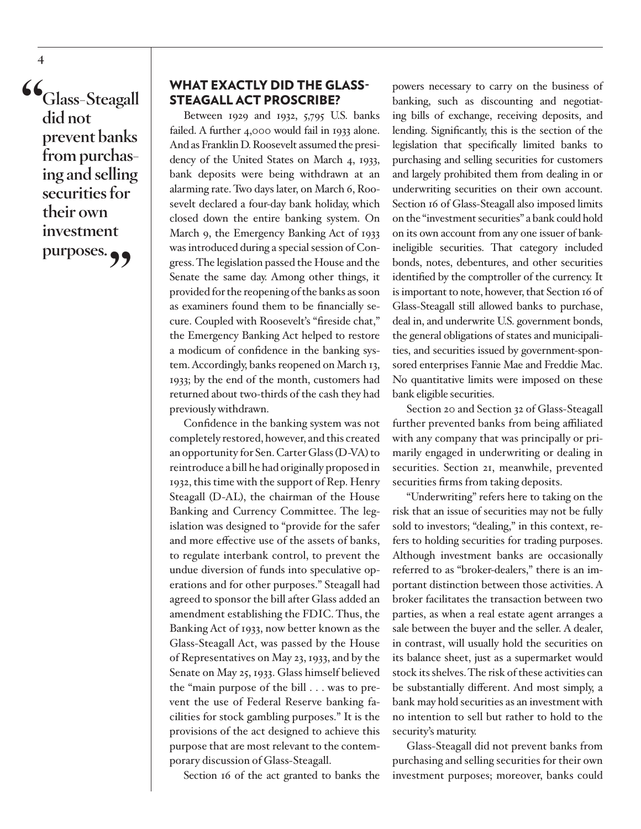**"Glass-Steagall did not prevent banks from purchasing and selling securities for their own investment**  purposes.<sup>99</sup>

#### WHAT EXACTLY DID THE GLASS-STEAGALL ACT PROSCRIBE?

Between 1929 and 1932, 5,795 U.S. banks failed. A further 4,000 would fail in 1933 alone. And as Franklin D. Roosevelt assumed the presidency of the United States on March 4, 1933, bank deposits were being withdrawn at an alarming rate. Two days later, on March 6, Roosevelt declared a four-day bank holiday, which closed down the entire banking system. On March 9, the Emergency Banking Act of 1933 was introduced during a special session of Congress. The legislation passed the House and the Senate the same day. Among other things, it provided for the reopening of the banks as soon as examiners found them to be financially secure. Coupled with Roosevelt's "fireside chat," the Emergency Banking Act helped to restore a modicum of confidence in the banking system. Accordingly, banks reopened on March 13, 1933; by the end of the month, customers had returned about two-thirds of the cash they had previously withdrawn.

Confidence in the banking system was not completely restored, however, and this created an opportunity for Sen. Carter Glass (D-VA) to reintroduce a bill he had originally proposed in 1932, this time with the support of Rep. Henry Steagall (D-AL), the chairman of the House Banking and Currency Committee. The legislation was designed to "provide for the safer and more effective use of the assets of banks, to regulate interbank control, to prevent the undue diversion of funds into speculative operations and for other purposes." Steagall had agreed to sponsor the bill after Glass added an amendment establishing the FDIC. Thus, the Banking Act of 1933, now better known as the Glass-Steagall Act, was passed by the House of Representatives on May 23, 1933, and by the Senate on May 25, 1933. Glass himself believed the "main purpose of the bill . . . was to prevent the use of Federal Reserve banking facilities for stock gambling purposes." It is the provisions of the act designed to achieve this purpose that are most relevant to the contemporary discussion of Glass-Steagall.

Section 16 of the act granted to banks the

powers necessary to carry on the business of banking, such as discounting and negotiating bills of exchange, receiving deposits, and lending. Significantly, this is the section of the legislation that specifically limited banks to purchasing and selling securities for customers and largely prohibited them from dealing in or underwriting securities on their own account. Section 16 of Glass-Steagall also imposed limits on the "investment securities" a bank could hold on its own account from any one issuer of bankineligible securities. That category included bonds, notes, debentures, and other securities identified by the comptroller of the currency. It is important to note, however, that Section 16 of Glass-Steagall still allowed banks to purchase, deal in, and underwrite U.S. government bonds, the general obligations of states and municipalities, and securities issued by government-sponsored enterprises Fannie Mae and Freddie Mac. No quantitative limits were imposed on these bank eligible securities.

Section 20 and Section 32 of Glass-Steagall further prevented banks from being affiliated with any company that was principally or primarily engaged in underwriting or dealing in securities. Section 21, meanwhile, prevented securities firms from taking deposits.

"Underwriting" refers here to taking on the risk that an issue of securities may not be fully sold to investors; "dealing," in this context, refers to holding securities for trading purposes. Although investment banks are occasionally referred to as "broker-dealers," there is an important distinction between those activities. A broker facilitates the transaction between two parties, as when a real estate agent arranges a sale between the buyer and the seller. A dealer, in contrast, will usually hold the securities on its balance sheet, just as a supermarket would stock its shelves. The risk of these activities can be substantially different. And most simply, a bank may hold securities as an investment with no intention to sell but rather to hold to the security's maturity.

Glass-Steagall did not prevent banks from purchasing and selling securities for their own investment purposes; moreover, banks could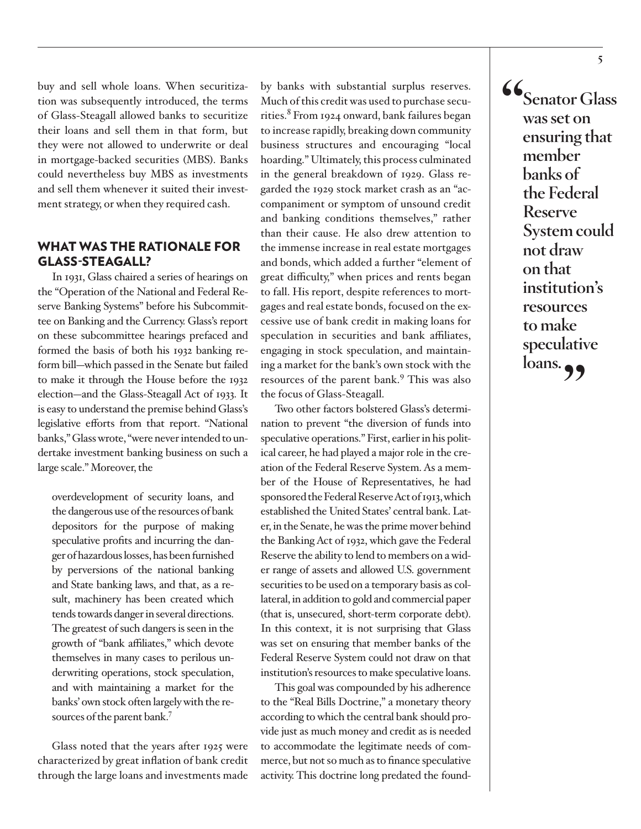buy and sell whole loans. When securitization was subsequently introduced, the terms of Glass-Steagall allowed banks to securitize their loans and sell them in that form, but they were not allowed to underwrite or deal in mortgage-backed securities (MBS). Banks could nevertheless buy MBS as investments and sell them whenever it suited their investment strategy, or when they required cash.

#### WHAT WAS THE RATIONALE FOR GLASS-STEAGALL?

In 1931, Glass chaired a series of hearings on the "Operation of the National and Federal Reserve Banking Systems" before his Subcommittee on Banking and the Currency. Glass's report on these subcommittee hearings prefaced and formed the basis of both his 1932 banking reform bill—which passed in the Senate but failed to make it through the House before the 1932 election—and the Glass-Steagall Act of 1933. It is easy to understand the premise behind Glass's legislative efforts from that report. "National banks," Glass wrote, "were never intended to undertake investment banking business on such a large scale." Moreover, the

overdevelopment of security loans, and the dangerous use of the resources of bank depositors for the purpose of making speculative profits and incurring the danger of hazardous losses, has been furnished by perversions of the national banking and State banking laws, and that, as a result, machinery has been created which tends towards danger in several directions. The greatest of such dangers is seen in the growth of "bank affiliates," which devote themselves in many cases to perilous underwriting operations, stock speculation, and with maintaining a market for the banks' own stock often largely with the resources of the parent bank.<sup>7</sup>

Glass noted that the years after 1925 were characterized by great inflation of bank credit through the large loans and investments made

by banks with substantial surplus reserves. Much of this credit was used to purchase securities.<sup>8</sup> From 1924 onward, bank failures began to increase rapidly, breaking down community business structures and encouraging "local hoarding." Ultimately, this process culminated in the general breakdown of 1929. Glass regarded the 1929 stock market crash as an "accompaniment or symptom of unsound credit and banking conditions themselves," rather than their cause. He also drew attention to the immense increase in real estate mortgages and bonds, which added a further "element of great difficulty," when prices and rents began to fall. His report, despite references to mortgages and real estate bonds, focused on the excessive use of bank credit in making loans for speculation in securities and bank affiliates, engaging in stock speculation, and maintaining a market for the bank's own stock with the resources of the parent bank.<sup>9</sup> This was also the focus of Glass-Steagall.

Two other factors bolstered Glass's determination to prevent "the diversion of funds into speculative operations." First, earlier in his political career, he had played a major role in the creation of the Federal Reserve System. As a member of the House of Representatives, he had sponsored the Federal Reserve Act of 1913, which established the United States' central bank. Later, in the Senate, he was the prime mover behind the Banking Act of 1932, which gave the Federal Reserve the ability to lend to members on a wider range of assets and allowed U.S. government securities to be used on a temporary basis as collateral, in addition to gold and commercial paper (that is, unsecured, short-term corporate debt). In this context, it is not surprising that Glass was set on ensuring that member banks of the Federal Reserve System could not draw on that institution's resources to make speculative loans.

This goal was compounded by his adherence to the "Real Bills Doctrine," a monetary theory according to which the central bank should provide just as much money and credit as is needed to accommodate the legitimate needs of commerce, but not so much as to finance speculative activity. This doctrine long predated the found**"Senator Glass was set on ensuring that member banks of the Federal Reserve System could not draw on that institution's resources to make speculative**  loans.<sub>22</sub>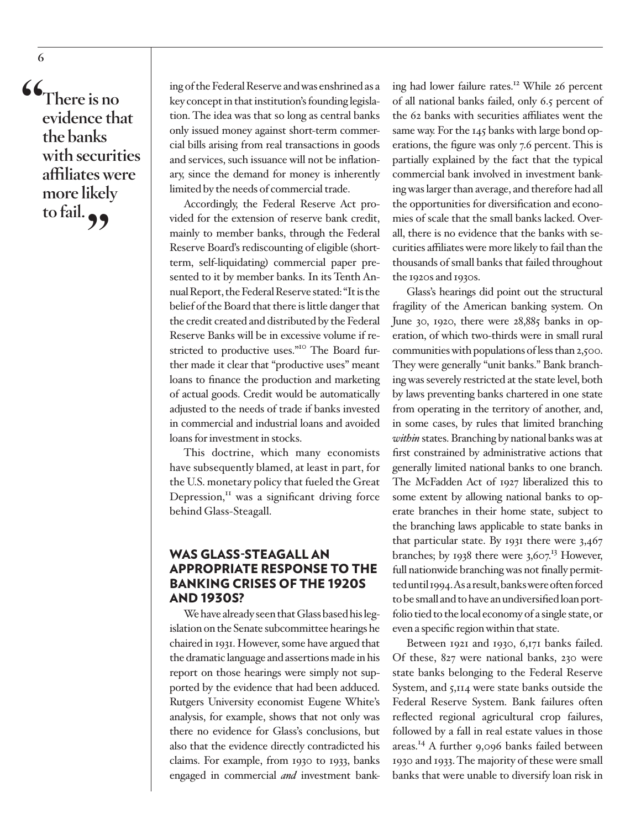**"There is no evidence that the banks with securities affiliates were more likely to fail."**

ing of the Federal Reserve and was enshrined as a key concept in that institution's founding legislation. The idea was that so long as central banks only issued money against short-term commercial bills arising from real transactions in goods and services, such issuance will not be inflationary, since the demand for money is inherently limited by the needs of commercial trade.

Accordingly, the Federal Reserve Act provided for the extension of reserve bank credit, mainly to member banks, through the Federal Reserve Board's rediscounting of eligible (shortterm, self-liquidating) commercial paper presented to it by member banks. In its Tenth Annual Report, the Federal Reserve stated: "It is the belief of the Board that there is little danger that the credit created and distributed by the Federal Reserve Banks will be in excessive volume if restricted to productive uses."<sup>10</sup> The Board further made it clear that "productive uses" meant loans to finance the production and marketing of actual goods. Credit would be automatically adjusted to the needs of trade if banks invested in commercial and industrial loans and avoided loans for investment in stocks.

This doctrine, which many economists have subsequently blamed, at least in part, for the U.S. monetary policy that fueled the Great Depression,<sup>11</sup> was a significant driving force behind Glass-Steagall.

#### WAS GLASS-STEAGALL AN APPROPRIATE RESPONSE TO THE BANKING CRISES OF THE 1920S AND 1930S?

We have already seen that Glass based his legislation on the Senate subcommittee hearings he chaired in 1931. However, some have argued that the dramatic language and assertions made in his report on those hearings were simply not supported by the evidence that had been adduced. Rutgers University economist Eugene White's analysis, for example, shows that not only was there no evidence for Glass's conclusions, but also that the evidence directly contradicted his claims. For example, from 1930 to 1933, banks engaged in commercial *and* investment banking had lower failure rates.12 While 26 percent of all national banks failed, only 6.5 percent of the 62 banks with securities affiliates went the same way. For the 145 banks with large bond operations, the figure was only 7.6 percent. This is partially explained by the fact that the typical commercial bank involved in investment banking was larger than average, and therefore had all the opportunities for diversification and economies of scale that the small banks lacked. Overall, there is no evidence that the banks with securities affiliates were more likely to fail than the thousands of small banks that failed throughout the 1920s and 1930s.

Glass's hearings did point out the structural fragility of the American banking system. On June 30, 1920, there were  $28,885$  banks in operation, of which two-thirds were in small rural communities with populations of less than 2,500. They were generally "unit banks." Bank branching was severely restricted at the state level, both by laws preventing banks chartered in one state from operating in the territory of another, and, in some cases, by rules that limited branching *within* states. Branching by national banks was at first constrained by administrative actions that generally limited national banks to one branch. The McFadden Act of 1927 liberalized this to some extent by allowing national banks to operate branches in their home state, subject to the branching laws applicable to state banks in that particular state. By 1931 there were 3,467 branches; by 1938 there were  $3,607$ <sup>13</sup> However, full nationwide branching was not finally permitted until 1994. As a result, banks were often forced to be small and to have an undiversified loan portfolio tied to the local economy of a single state, or even a specific region within that state.

Between 1921 and 1930, 6,171 banks failed. Of these, 827 were national banks, 230 were state banks belonging to the Federal Reserve System, and 5,114 were state banks outside the Federal Reserve System. Bank failures often reflected regional agricultural crop failures, followed by a fall in real estate values in those areas.14 A further 9,096 banks failed between 1930 and 1933. The majority of these were small banks that were unable to diversify loan risk in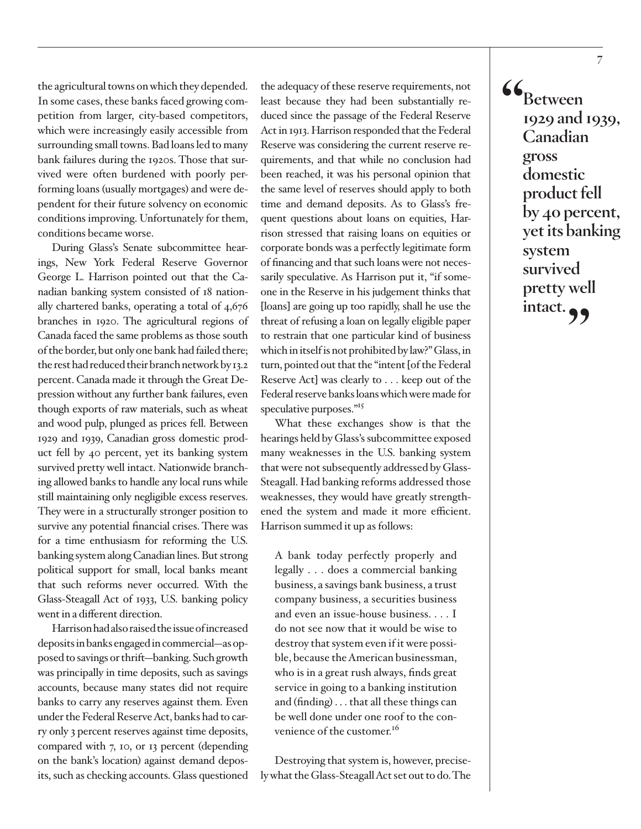the agricultural towns on which they depended. In some cases, these banks faced growing competition from larger, city-based competitors, which were increasingly easily accessible from surrounding small towns. Bad loans led to many bank failures during the 1920s. Those that survived were often burdened with poorly performing loans (usually mortgages) and were dependent for their future solvency on economic conditions improving. Unfortunately for them, conditions became worse.

During Glass's Senate subcommittee hearings, New York Federal Reserve Governor George L. Harrison pointed out that the Canadian banking system consisted of 18 nationally chartered banks, operating a total of 4,676 branches in 1920. The agricultural regions of Canada faced the same problems as those south of the border, but only one bank had failed there; the rest had reduced their branch network by 13.2 percent. Canada made it through the Great Depression without any further bank failures, even though exports of raw materials, such as wheat and wood pulp, plunged as prices fell. Between 1929 and 1939, Canadian gross domestic product fell by 40 percent, yet its banking system survived pretty well intact. Nationwide branching allowed banks to handle any local runs while still maintaining only negligible excess reserves. They were in a structurally stronger position to survive any potential financial crises. There was for a time enthusiasm for reforming the U.S. banking system along Canadian lines. But strong political support for small, local banks meant that such reforms never occurred. With the Glass-Steagall Act of 1933, U.S. banking policy went in a different direction.

Harrison had also raised the issue of increased deposits in banks engaged in commercial—as opposed to savings or thrift—banking. Such growth was principally in time deposits, such as savings accounts, because many states did not require banks to carry any reserves against them. Even under the Federal Reserve Act, banks had to carry only 3 percent reserves against time deposits, compared with 7, 10, or 13 percent (depending on the bank's location) against demand deposits, such as checking accounts. Glass questioned

the adequacy of these reserve requirements, not least because they had been substantially reduced since the passage of the Federal Reserve Act in 1913. Harrison responded that the Federal Reserve was considering the current reserve requirements, and that while no conclusion had been reached, it was his personal opinion that the same level of reserves should apply to both time and demand deposits. As to Glass's frequent questions about loans on equities, Harrison stressed that raising loans on equities or corporate bonds was a perfectly legitimate form of financing and that such loans were not necessarily speculative. As Harrison put it, "if someone in the Reserve in his judgement thinks that [loans] are going up too rapidly, shall he use the threat of refusing a loan on legally eligible paper to restrain that one particular kind of business which in itself is not prohibited by law?" Glass, in turn, pointed out that the "intent [of the Federal Reserve Act] was clearly to . . . keep out of the Federal reserve banks loans which were made for speculative purposes."<sup>15</sup>

What these exchanges show is that the hearings held by Glass's subcommittee exposed many weaknesses in the U.S. banking system that were not subsequently addressed by Glass-Steagall. Had banking reforms addressed those weaknesses, they would have greatly strengthened the system and made it more efficient. Harrison summed it up as follows:

A bank today perfectly properly and legally . . . does a commercial banking business, a savings bank business, a trust company business, a securities business and even an issue-house business. . . . I do not see now that it would be wise to destroy that system even if it were possible, because the American businessman, who is in a great rush always, finds great service in going to a banking institution and (finding) . . . that all these things can be well done under one roof to the convenience of the customer.<sup>16</sup>

Destroying that system is, however, precisely what the Glass-Steagall Act set out to do. The **"Between 1929 and 1939, Canadian gross domestic product fell by 40 percent, yet its banking system survived pretty well**  intact.<sub>99</sub>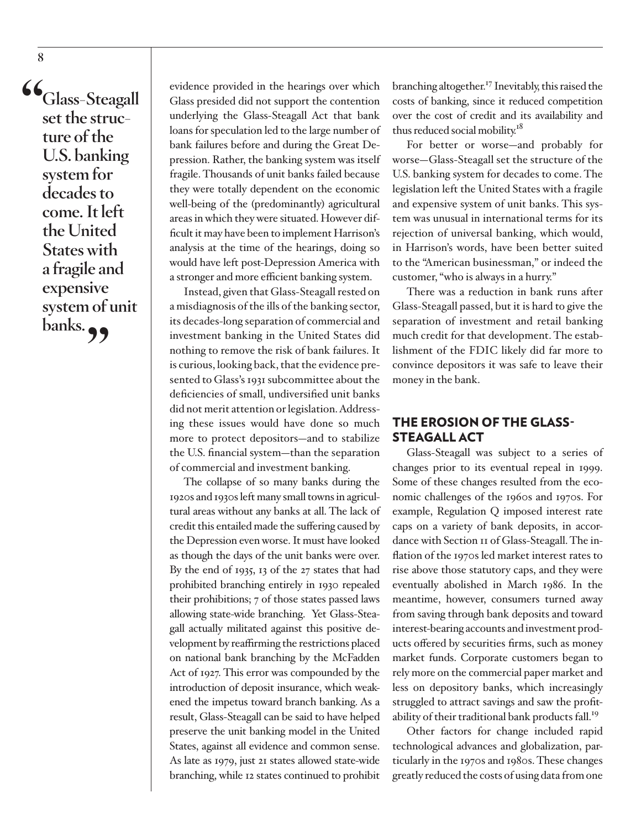**"Glass-Steagall set the structure of the U.S. banking system for decades to come. It left the United States with a fragile and expensive system of unit banks.** 

evidence provided in the hearings over which Glass presided did not support the contention underlying the Glass-Steagall Act that bank loans for speculation led to the large number of bank failures before and during the Great Depression. Rather, the banking system was itself fragile. Thousands of unit banks failed because they were totally dependent on the economic well-being of the (predominantly) agricultural areas in which they were situated. However difficult it may have been to implement Harrison's analysis at the time of the hearings, doing so would have left post-Depression America with a stronger and more efficient banking system.

Instead, given that Glass-Steagall rested on a misdiagnosis of the ills of the banking sector, its decades-long separation of commercial and investment banking in the United States did nothing to remove the risk of bank failures. It is curious, looking back, that the evidence presented to Glass's 1931 subcommittee about the deficiencies of small, undiversified unit banks did not merit attention or legislation. Addressing these issues would have done so much more to protect depositors—and to stabilize the U.S. financial system—than the separation of commercial and investment banking.

The collapse of so many banks during the 1920s and 1930s left many small towns in agricultural areas without any banks at all. The lack of credit this entailed made the suffering caused by the Depression even worse. It must have looked as though the days of the unit banks were over. By the end of 1935, 13 of the 27 states that had prohibited branching entirely in 1930 repealed their prohibitions; 7 of those states passed laws allowing state-wide branching. Yet Glass-Steagall actually militated against this positive development by reaffirming the restrictions placed on national bank branching by the McFadden Act of 1927. This error was compounded by the introduction of deposit insurance, which weakened the impetus toward branch banking. As a result, Glass-Steagall can be said to have helped preserve the unit banking model in the United States, against all evidence and common sense. As late as 1979, just 21 states allowed state-wide branching, while 12 states continued to prohibit

branching altogether.<sup>17</sup> Inevitably, this raised the costs of banking, since it reduced competition over the cost of credit and its availability and thus reduced social mobility.<sup>18</sup>

For better or worse—and probably for worse—Glass-Steagall set the structure of the U.S. banking system for decades to come. The legislation left the United States with a fragile and expensive system of unit banks. This system was unusual in international terms for its rejection of universal banking, which would, in Harrison's words, have been better suited to the "American businessman," or indeed the customer, "who is always in a hurry."

There was a reduction in bank runs after Glass-Steagall passed, but it is hard to give the separation of investment and retail banking much credit for that development. The establishment of the FDIC likely did far more to convince depositors it was safe to leave their money in the bank.

#### THE EROSION OF THE GLASS-STEAGALL ACT

Glass-Steagall was subject to a series of changes prior to its eventual repeal in 1999. Some of these changes resulted from the economic challenges of the 1960s and 1970s. For example, Regulation Q imposed interest rate caps on a variety of bank deposits, in accordance with Section 11 of Glass-Steagall. The inflation of the 1970s led market interest rates to rise above those statutory caps, and they were eventually abolished in March 1986. In the meantime, however, consumers turned away from saving through bank deposits and toward interest-bearing accounts and investment products offered by securities firms, such as money market funds. Corporate customers began to rely more on the commercial paper market and less on depository banks, which increasingly struggled to attract savings and saw the profitability of their traditional bank products fall.<sup>19</sup>

Other factors for change included rapid technological advances and globalization, particularly in the 1970s and 1980s. These changes greatly reduced the costs of using data from one

**8**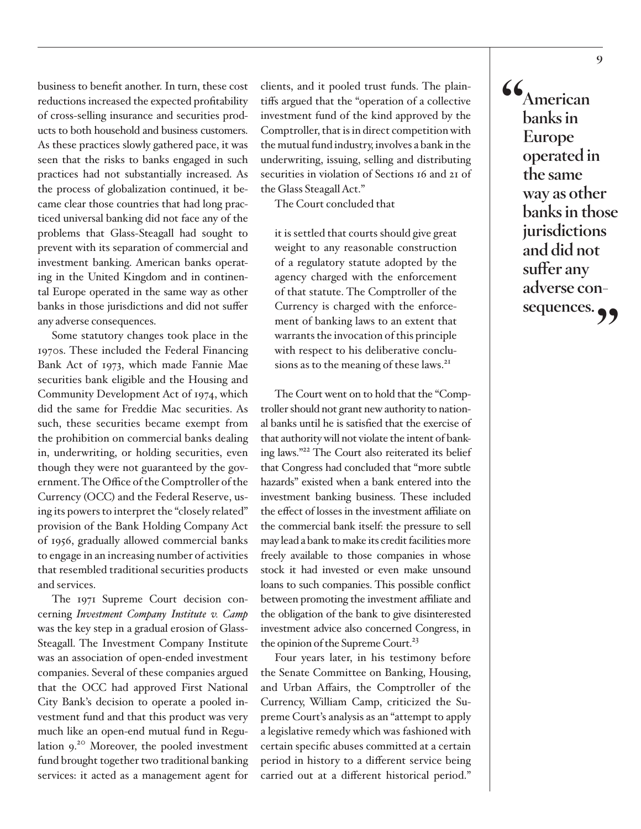business to benefit another. In turn, these cost reductions increased the expected profitability of cross-selling insurance and securities products to both household and business customers. As these practices slowly gathered pace, it was seen that the risks to banks engaged in such practices had not substantially increased. As the process of globalization continued, it became clear those countries that had long practiced universal banking did not face any of the problems that Glass-Steagall had sought to prevent with its separation of commercial and investment banking. American banks operating in the United Kingdom and in continental Europe operated in the same way as other banks in those jurisdictions and did not suffer any adverse consequences.

Some statutory changes took place in the 1970s. These included the Federal Financing Bank Act of 1973, which made Fannie Mae securities bank eligible and the Housing and Community Development Act of 1974, which did the same for Freddie Mac securities. As such, these securities became exempt from the prohibition on commercial banks dealing in, underwriting, or holding securities, even though they were not guaranteed by the government. The Office of the Comptroller of the Currency (OCC) and the Federal Reserve, using its powers to interpret the "closely related" provision of the Bank Holding Company Act of 1956, gradually allowed commercial banks to engage in an increasing number of activities that resembled traditional securities products and services.

The 1971 Supreme Court decision concerning *Investment Company Institute v. Camp* was the key step in a gradual erosion of Glass-Steagall. The Investment Company Institute was an association of open-ended investment companies. Several of these companies argued that the OCC had approved First National City Bank's decision to operate a pooled investment fund and that this product was very much like an open-end mutual fund in Regulation 9.<sup>20</sup> Moreover, the pooled investment fund brought together two traditional banking services: it acted as a management agent for

clients, and it pooled trust funds. The plaintiffs argued that the "operation of a collective investment fund of the kind approved by the Comptroller, that is in direct competition with the mutual fund industry, involves a bank in the underwriting, issuing, selling and distributing securities in violation of Sections 16 and 21 of the Glass Steagall Act."

The Court concluded that

it is settled that courts should give great weight to any reasonable construction of a regulatory statute adopted by the agency charged with the enforcement of that statute. The Comptroller of the Currency is charged with the enforcement of banking laws to an extent that warrants the invocation of this principle with respect to his deliberative conclusions as to the meaning of these laws.<sup>21</sup>

The Court went on to hold that the "Comptroller should not grant new authority to national banks until he is satisfied that the exercise of that authority will not violate the intent of banking laws."22 The Court also reiterated its belief that Congress had concluded that "more subtle hazards" existed when a bank entered into the investment banking business. These included the effect of losses in the investment affiliate on the commercial bank itself: the pressure to sell may lead a bank to make its credit facilities more freely available to those companies in whose stock it had invested or even make unsound loans to such companies. This possible conflict between promoting the investment affiliate and the obligation of the bank to give disinterested investment advice also concerned Congress, in the opinion of the Supreme Court.<sup>23</sup>

Four years later, in his testimony before the Senate Committee on Banking, Housing, and Urban Affairs, the Comptroller of the Currency, William Camp, criticized the Supreme Court's analysis as an "attempt to apply a legislative remedy which was fashioned with certain specific abuses committed at a certain period in history to a different service being carried out at a different historical period." **"American banks in Europe operated in the same way as other banks in those jurisdictions and did not suffer any adverse consequences."**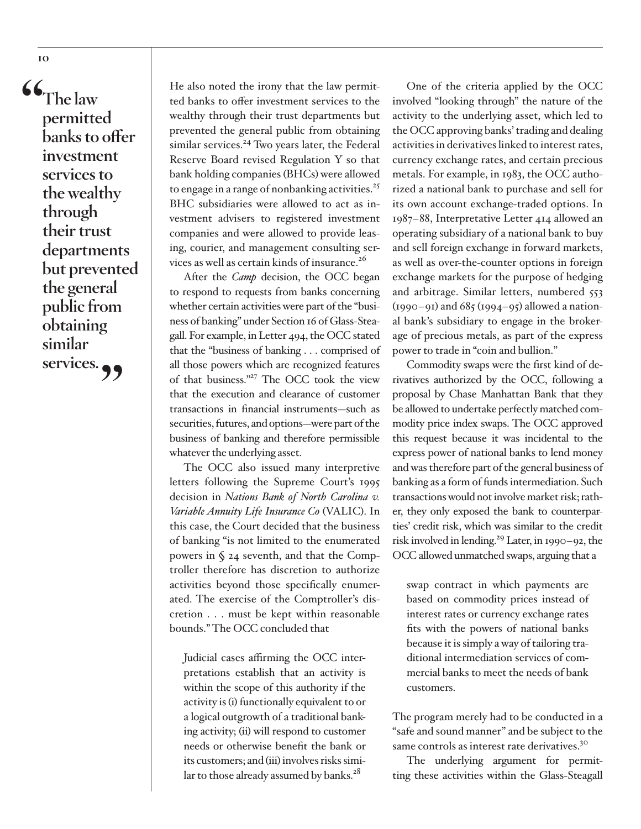**"The law permitted banks to offer investment services to the wealthy through their trust departments but prevented the general public from obtaining similar services."**

**10**

He also noted the irony that the law permitted banks to offer investment services to the wealthy through their trust departments but prevented the general public from obtaining similar services.<sup>24</sup> Two years later, the Federal Reserve Board revised Regulation Y so that bank holding companies (BHCs) were allowed to engage in a range of nonbanking activities. $25$ BHC subsidiaries were allowed to act as investment advisers to registered investment companies and were allowed to provide leasing, courier, and management consulting services as well as certain kinds of insurance.<sup>26</sup>

After the *Camp* decision, the OCC began to respond to requests from banks concerning whether certain activities were part of the "business of banking" under Section 16 of Glass-Steagall. For example, in Letter 494, the OCC stated that the "business of banking . . . comprised of all those powers which are recognized features of that business."27 The OCC took the view that the execution and clearance of customer transactions in financial instruments—such as securities, futures, and options—were part of the business of banking and therefore permissible whatever the underlying asset.

The OCC also issued many interpretive letters following the Supreme Court's 1995 decision in *Nations Bank of North Carolina v. Variable Annuity Life Insurance Co* (VALIC). In this case, the Court decided that the business of banking "is not limited to the enumerated powers in § 24 seventh, and that the Comptroller therefore has discretion to authorize activities beyond those specifically enumerated. The exercise of the Comptroller's discretion . . . must be kept within reasonable bounds." The OCC concluded that

Judicial cases affirming the OCC interpretations establish that an activity is within the scope of this authority if the activity is (i) functionally equivalent to or a logical outgrowth of a traditional banking activity; (ii) will respond to customer needs or otherwise benefit the bank or its customers; and (iii) involves risks similar to those already assumed by banks.<sup>28</sup>

One of the criteria applied by the OCC involved "looking through" the nature of the activity to the underlying asset, which led to the OCC approving banks' trading and dealing activities in derivatives linked to interest rates, currency exchange rates, and certain precious metals. For example, in 1983, the OCC authorized a national bank to purchase and sell for its own account exchange-traded options. In 1987–88, Interpretative Letter 414 allowed an operating subsidiary of a national bank to buy and sell foreign exchange in forward markets, as well as over-the-counter options in foreign exchange markets for the purpose of hedging and arbitrage. Similar letters, numbered 553  $(1990 - 91)$  and  $685$  ( $1994 - 95$ ) allowed a national bank's subsidiary to engage in the brokerage of precious metals, as part of the express power to trade in "coin and bullion."

Commodity swaps were the first kind of derivatives authorized by the OCC, following a proposal by Chase Manhattan Bank that they be allowed to undertake perfectly matched commodity price index swaps. The OCC approved this request because it was incidental to the express power of national banks to lend money and was therefore part of the general business of banking as a form of funds intermediation. Such transactions would not involve market risk; rather, they only exposed the bank to counterparties' credit risk, which was similar to the credit risk involved in lending.29 Later, in 1990–92, the OCC allowed unmatched swaps, arguing that a

swap contract in which payments are based on commodity prices instead of interest rates or currency exchange rates fits with the powers of national banks because it is simply a way of tailoring traditional intermediation services of commercial banks to meet the needs of bank customers.

The program merely had to be conducted in a "safe and sound manner" and be subject to the same controls as interest rate derivatives.<sup>30</sup>

The underlying argument for permitting these activities within the Glass-Steagall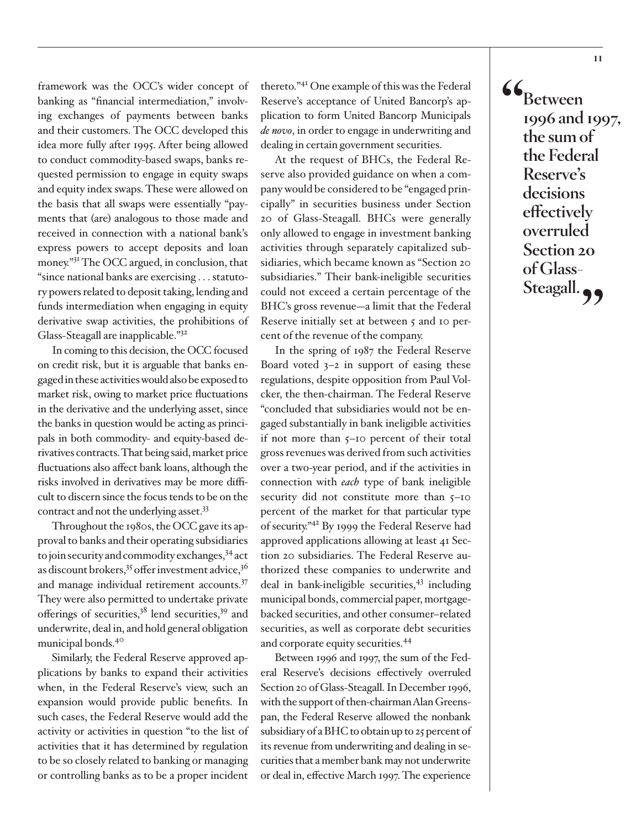framework was the OCC's wider concept of banking as "financial intermediation," involving exchanges of payments between banks and their customers. The OCC developed this idea more fully after 1995. After being allowed to conduct commodity-based swaps, banks requested permission to engage in equity swaps and equity index swaps. These were allowed on the basis that all swaps were essentially "payments that (are) analogous to those made and received in connection with a national bank's express powers to accept deposits and loan money.<sup>"31</sup> The OCC argued, in conclusion, that "since national banks are exercising . . . statutory powers related to deposit taking, lending and funds intermediation when engaging in equity derivative swap activities, the prohibitions of Glass-Steagall are inapplicable."32

In coming to this decision, the OCC focused on credit risk, but it is arguable that banks engaged in these activities would also be exposed to market risk, owing to market price fluctuations in the derivative and the underlying asset, since the banks in question would be acting as principals in both commodity- and equity-based derivatives contracts. That being said, market price fluctuations also affect bank loans, although the risks involved in derivatives may be more difficult to discern since the focus tends to be on the contract and not the underlying asset.<sup>33</sup>

Throughout the 1980s, the OCC gave its approval to banks and their operating subsidiaries to join security and commodity exchanges,  $34$  act as discount brokers,  $35$  offer investment advice,  $36$ and manage individual retirement accounts.<sup>37</sup> They were also permitted to undertake private offerings of securities, $3^8$  lend securities, $3^9$  and underwrite, deal in, and hold general obligation municipal bonds.40

Similarly, the Federal Reserve approved applications by banks to expand their activities when, in the Federal Reserve's view, such an expansion would provide public benefits. In such cases, the Federal Reserve would add the activity or activities in question "to the list of activities that it has determined by regulation to be so closely related to banking or managing or controlling banks as to be a proper incident

thereto."41 One example of this was the Federal Reserve's acceptance of United Bancorp's application to form United Bancorp Municipals *de novo*, in order to engage in underwriting and dealing in certain government securities.

At the request of BHCs, the Federal Reserve also provided guidance on when a company would be considered to be "engaged principally" in securities business under Section 20 of Glass-Steagall. BHCs were generally only allowed to engage in investment banking activities through separately capitalized subsidiaries, which became known as "Section 20 subsidiaries." Their bank-ineligible securities could not exceed a certain percentage of the BHC's gross revenue—a limit that the Federal Reserve initially set at between 5 and 10 percent of the revenue of the company.

In the spring of 1987 the Federal Reserve Board voted  $3-2$  in support of easing these regulations, despite opposition from Paul Volcker, the then-chairman. The Federal Reserve "concluded that subsidiaries would not be engaged substantially in bank ineligible activities if not more than 5–10 percent of their total gross revenues was derived from such activities over a two-year period, and if the activities in connection with *each* type of bank ineligible security did not constitute more than  $5-10$ percent of the market for that particular type of security."42 By 1999 the Federal Reserve had approved applications allowing at least 41 Section 20 subsidiaries. The Federal Reserve authorized these companies to underwrite and deal in bank-ineligible securities,  $43$  including municipal bonds, commercial paper, mortgagebacked securities, and other consumer–related securities, as well as corporate debt securities and corporate equity securities.44

Between 1996 and 1997, the sum of the Federal Reserve's decisions effectively overruled Section 20 of Glass-Steagall. In December 1996, with the support of then-chairman Alan Greenspan, the Federal Reserve allowed the nonbank subsidiary of a BHC to obtain up to 25 percent of its revenue from underwriting and dealing in securities that a member bank may not underwrite or deal in, effective March 1997. The experience **"Between 1996 and 1997, the sum of the Federal Reserve's decisions effectively overruled Section 20 of Glass-**Steagall.<sup>99</sup>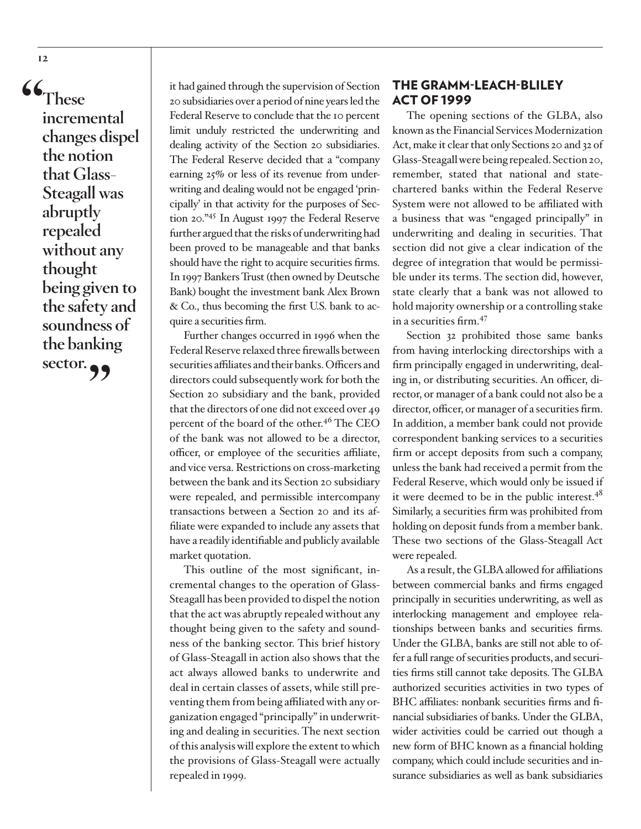**"These incremental changes dispel the notion that Glass-Steagall was abruptly repealed without any thought being given to the safety and soundness of the banking**  sector.<sup>99</sup>

it had gained through the supervision of Section 20 subsidiaries over a period of nine years led the Federal Reserve to conclude that the 10 percent limit unduly restricted the underwriting and dealing activity of the Section 20 subsidiaries. The Federal Reserve decided that a "company earning 25% or less of its revenue from underwriting and dealing would not be engaged 'principally' in that activity for the purposes of Section 20."45 In August 1997 the Federal Reserve further argued that the risks of underwriting had been proved to be manageable and that banks should have the right to acquire securities firms. In 1997 Bankers Trust (then owned by Deutsche Bank) bought the investment bank Alex Brown & Co., thus becoming the first U.S. bank to acquire a securities firm.

Further changes occurred in 1996 when the Federal Reserve relaxed three firewalls between securities affiliates and their banks. Officers and directors could subsequently work for both the Section 20 subsidiary and the bank, provided that the directors of one did not exceed over 49 percent of the board of the other.46 The CEO of the bank was not allowed to be a director, officer, or employee of the securities affiliate, and vice versa. Restrictions on cross-marketing between the bank and its Section 20 subsidiary were repealed, and permissible intercompany transactions between a Section 20 and its affiliate were expanded to include any assets that have a readily identifiable and publicly available market quotation.

This outline of the most significant, incremental changes to the operation of Glass-Steagall has been provided to dispel the notion that the act was abruptly repealed without any thought being given to the safety and soundness of the banking sector. This brief history of Glass-Steagall in action also shows that the act always allowed banks to underwrite and deal in certain classes of assets, while still preventing them from being affiliated with any organization engaged "principally" in underwriting and dealing in securities. The next section of this analysis will explore the extent to which the provisions of Glass-Steagall were actually repealed in 1999.

#### THE GRAMM-LEACH-BLILEY ACT OF 1999

The opening sections of the GLBA, also known as the Financial Services Modernization Act, make it clear that only Sections 20 and 32 of Glass-Steagall were being repealed. Section 20, remember, stated that national and statechartered banks within the Federal Reserve System were not allowed to be affiliated with a business that was "engaged principally" in underwriting and dealing in securities. That section did not give a clear indication of the degree of integration that would be permissible under its terms. The section did, however, state clearly that a bank was not allowed to hold majority ownership or a controlling stake in a securities firm.47

Section 32 prohibited those same banks from having interlocking directorships with a firm principally engaged in underwriting, dealing in, or distributing securities. An officer, director, or manager of a bank could not also be a director, officer, or manager of a securities firm. In addition, a member bank could not provide correspondent banking services to a securities firm or accept deposits from such a company, unless the bank had received a permit from the Federal Reserve, which would only be issued if it were deemed to be in the public interest. $48$ Similarly, a securities firm was prohibited from holding on deposit funds from a member bank. These two sections of the Glass-Steagall Act were repealed.

As a result, the GLBA allowed for affiliations between commercial banks and firms engaged principally in securities underwriting, as well as interlocking management and employee relationships between banks and securities firms. Under the GLBA, banks are still not able to offer a full range of securities products, and securities firms still cannot take deposits. The GLBA authorized securities activities in two types of BHC affiliates: nonbank securities firms and financial subsidiaries of banks. Under the GLBA, wider activities could be carried out though a new form of BHC known as a financial holding company, which could include securities and insurance subsidiaries as well as bank subsidiaries

**12**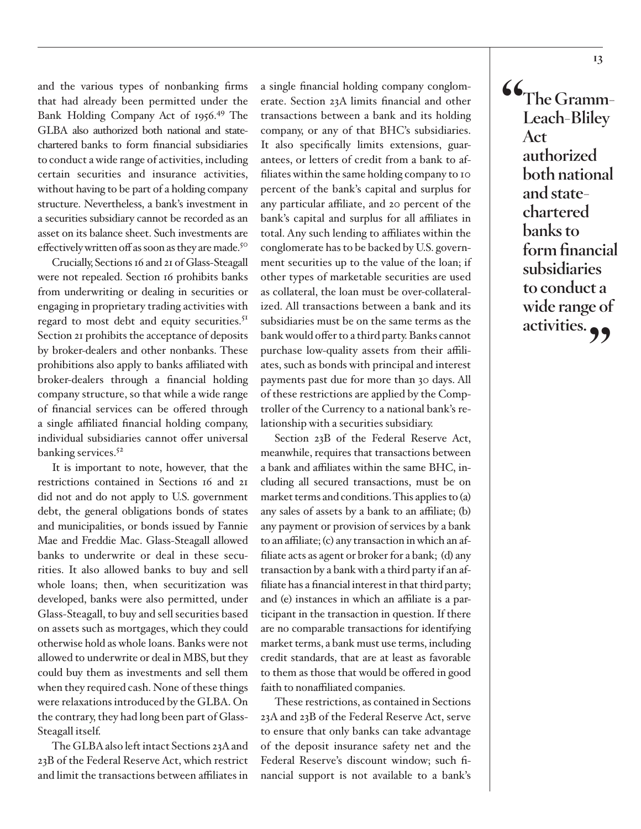and the various types of nonbanking firms that had already been permitted under the Bank Holding Company Act of 1956.49 The GLBA also authorized both national and statechartered banks to form financial subsidiaries to conduct a wide range of activities, including certain securities and insurance activities, without having to be part of a holding company structure. Nevertheless, a bank's investment in a securities subsidiary cannot be recorded as an asset on its balance sheet. Such investments are effectively written off as soon as they are made.<sup>50</sup>

Crucially, Sections 16 and 21 of Glass-Steagall were not repealed. Section 16 prohibits banks from underwriting or dealing in securities or engaging in proprietary trading activities with regard to most debt and equity securities.<sup>51</sup> Section 21 prohibits the acceptance of deposits by broker-dealers and other nonbanks. These prohibitions also apply to banks affiliated with broker-dealers through a financial holding company structure, so that while a wide range of financial services can be offered through a single affiliated financial holding company, individual subsidiaries cannot offer universal banking services.<sup>52</sup>

It is important to note, however, that the restrictions contained in Sections 16 and 21 did not and do not apply to U.S. government debt, the general obligations bonds of states and municipalities, or bonds issued by Fannie Mae and Freddie Mac. Glass-Steagall allowed banks to underwrite or deal in these securities. It also allowed banks to buy and sell whole loans; then, when securitization was developed, banks were also permitted, under Glass-Steagall, to buy and sell securities based on assets such as mortgages, which they could otherwise hold as whole loans. Banks were not allowed to underwrite or deal in MBS, but they could buy them as investments and sell them when they required cash. None of these things were relaxations introduced by the GLBA. On the contrary, they had long been part of Glass-Steagall itself.

The GLBA also left intact Sections 23A and 23B of the Federal Reserve Act, which restrict and limit the transactions between affiliates in a single financial holding company conglomerate. Section 23A limits financial and other transactions between a bank and its holding company, or any of that BHC's subsidiaries. It also specifically limits extensions, guarantees, or letters of credit from a bank to affiliates within the same holding company to 10 percent of the bank's capital and surplus for any particular affiliate, and 20 percent of the bank's capital and surplus for all affiliates in total. Any such lending to affiliates within the conglomerate has to be backed by U.S. government securities up to the value of the loan; if other types of marketable securities are used as collateral, the loan must be over-collateralized. All transactions between a bank and its subsidiaries must be on the same terms as the bank would offer to a third party. Banks cannot purchase low-quality assets from their affiliates, such as bonds with principal and interest payments past due for more than 30 days. All of these restrictions are applied by the Comptroller of the Currency to a national bank's relationship with a securities subsidiary.

Section 23B of the Federal Reserve Act, meanwhile, requires that transactions between a bank and affiliates within the same BHC, including all secured transactions, must be on market terms and conditions. This applies to (a) any sales of assets by a bank to an affiliate; (b) any payment or provision of services by a bank to an affiliate; (c) any transaction in which an affiliate acts as agent or broker for a bank; (d) any transaction by a bank with a third party if an affiliate has a financial interest in that third party; and (e) instances in which an affiliate is a participant in the transaction in question. If there are no comparable transactions for identifying market terms, a bank must use terms, including credit standards, that are at least as favorable to them as those that would be offered in good faith to nonaffiliated companies.

These restrictions, as contained in Sections 23A and 23B of the Federal Reserve Act, serve to ensure that only banks can take advantage of the deposit insurance safety net and the Federal Reserve's discount window; such financial support is not available to a bank's **"The Gramm-Leach-Bliley Act authorized both national and statechartered banks to form financial subsidiaries to conduct a wide range of activities."**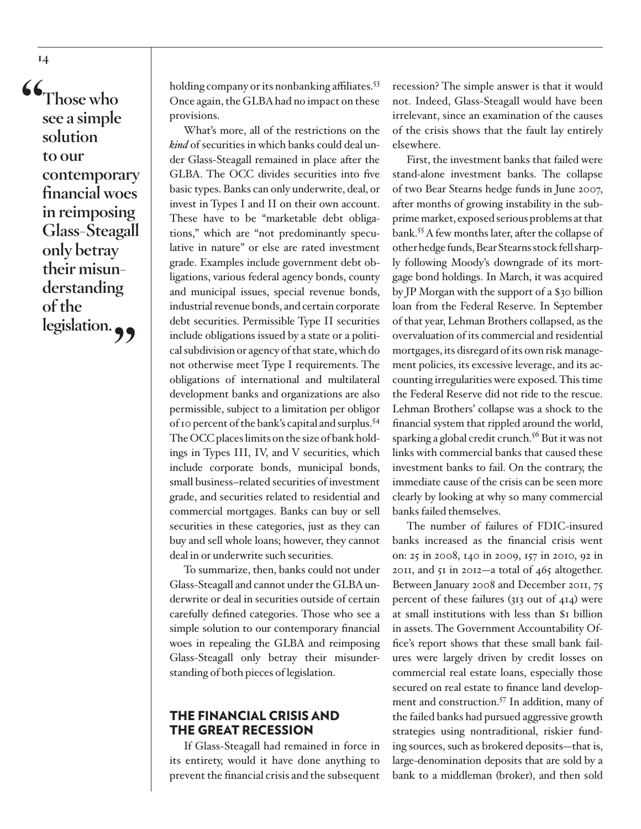**"Those who see a simple solution to our contemporary financial woes in reimposing Glass-Steagall only betray their misunderstanding of the**  legislation.<sup>99</sup>

holding company or its nonbanking affiliates.<sup>53</sup> Once again, the GLBA had no impact on these provisions.

What's more, all of the restrictions on the *kind* of securities in which banks could deal under Glass-Steagall remained in place after the GLBA. The OCC divides securities into five basic types. Banks can only underwrite, deal, or invest in Types I and II on their own account. These have to be "marketable debt obligations," which are "not predominantly speculative in nature" or else are rated investment grade. Examples include government debt obligations, various federal agency bonds, county and municipal issues, special revenue bonds, industrial revenue bonds, and certain corporate debt securities. Permissible Type II securities include obligations issued by a state or a political subdivision or agency of that state, which do not otherwise meet Type I requirements. The obligations of international and multilateral development banks and organizations are also permissible, subject to a limitation per obligor of 10 percent of the bank's capital and surplus.54 The OCC places limits on the size of bank holdings in Types III, IV, and V securities, which include corporate bonds, municipal bonds, small business–related securities of investment grade, and securities related to residential and commercial mortgages. Banks can buy or sell securities in these categories, just as they can buy and sell whole loans; however, they cannot deal in or underwrite such securities.

To summarize, then, banks could not under Glass-Steagall and cannot under the GLBA underwrite or deal in securities outside of certain carefully defined categories. Those who see a simple solution to our contemporary financial woes in repealing the GLBA and reimposing Glass-Steagall only betray their misunderstanding of both pieces of legislation.

#### THE FINANCIAL CRISIS AND THE GREAT RECESSION

If Glass-Steagall had remained in force in its entirety, would it have done anything to prevent the financial crisis and the subsequent

recession? The simple answer is that it would not. Indeed, Glass-Steagall would have been irrelevant, since an examination of the causes of the crisis shows that the fault lay entirely elsewhere.

First, the investment banks that failed were stand-alone investment banks. The collapse of two Bear Stearns hedge funds in June 2007, after months of growing instability in the subprime market, exposed serious problems at that bank.55 A few months later, after the collapse of other hedge funds, Bear Stearns stock fell sharply following Moody's downgrade of its mortgage bond holdings. In March, it was acquired by JP Morgan with the support of a \$30 billion loan from the Federal Reserve. In September of that year, Lehman Brothers collapsed, as the overvaluation of its commercial and residential mortgages, its disregard of its own risk management policies, its excessive leverage, and its accounting irregularities were exposed. This time the Federal Reserve did not ride to the rescue. Lehman Brothers' collapse was a shock to the financial system that rippled around the world, sparking a global credit crunch.<sup>56</sup> But it was not links with commercial banks that caused these investment banks to fail. On the contrary, the immediate cause of the crisis can be seen more clearly by looking at why so many commercial banks failed themselves.

The number of failures of FDIC-insured banks increased as the financial crisis went on: 25 in 2008, 140 in 2009, 157 in 2010, 92 in 2011, and 51 in 2012—a total of 465 altogether. Between January 2008 and December 2011, 75 percent of these failures (313 out of 414) were at small institutions with less than \$1 billion in assets. The Government Accountability Office's report shows that these small bank failures were largely driven by credit losses on commercial real estate loans, especially those secured on real estate to finance land development and construction.<sup>57</sup> In addition, many of the failed banks had pursued aggressive growth strategies using nontraditional, riskier funding sources, such as brokered deposits—that is, large-denomination deposits that are sold by a bank to a middleman (broker), and then sold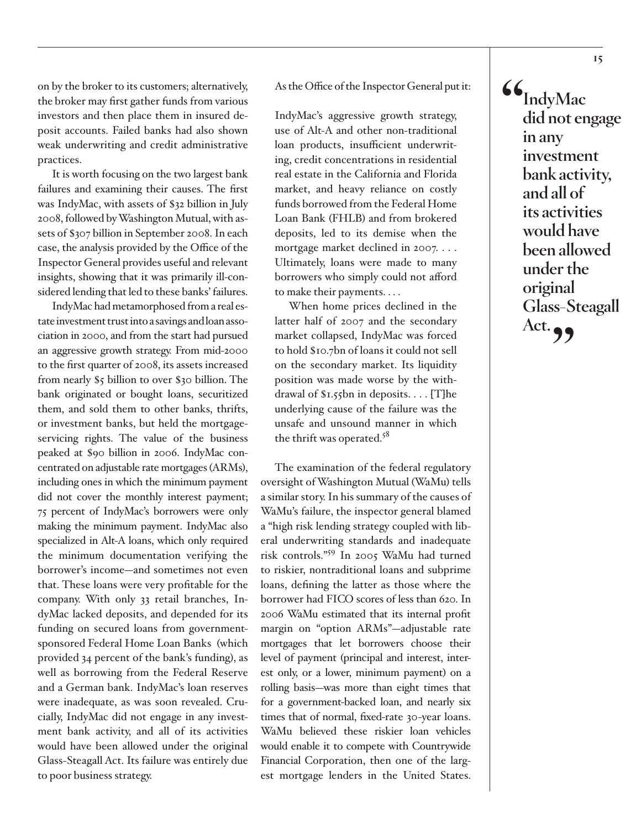on by the broker to its customers; alternatively, the broker may first gather funds from various investors and then place them in insured deposit accounts. Failed banks had also shown weak underwriting and credit administrative practices.

It is worth focusing on the two largest bank failures and examining their causes. The first was IndyMac, with assets of \$32 billion in July 2008, followed by Washington Mutual, with assets of \$307 billion in September 2008. In each case, the analysis provided by the Office of the Inspector General provides useful and relevant insights, showing that it was primarily ill-considered lending that led to these banks' failures.

IndyMac had metamorphosed from a real estate investment trust into a savings and loan association in 2000, and from the start had pursued an aggressive growth strategy. From mid-2000 to the first quarter of 2008, its assets increased from nearly \$5 billion to over \$30 billion. The bank originated or bought loans, securitized them, and sold them to other banks, thrifts, or investment banks, but held the mortgageservicing rights. The value of the business peaked at \$90 billion in 2006. IndyMac concentrated on adjustable rate mortgages (ARMs), including ones in which the minimum payment did not cover the monthly interest payment; 75 percent of IndyMac's borrowers were only making the minimum payment. IndyMac also specialized in Alt-A loans, which only required the minimum documentation verifying the borrower's income—and sometimes not even that. These loans were very profitable for the company. With only 33 retail branches, IndyMac lacked deposits, and depended for its funding on secured loans from governmentsponsored Federal Home Loan Banks (which provided 34 percent of the bank's funding), as well as borrowing from the Federal Reserve and a German bank. IndyMac's loan reserves were inadequate, as was soon revealed. Crucially, IndyMac did not engage in any investment bank activity, and all of its activities would have been allowed under the original Glass-Steagall Act. Its failure was entirely due to poor business strategy.

#### As the Office of the Inspector General put it:

IndyMac's aggressive growth strategy, use of Alt-A and other non-traditional loan products, insufficient underwriting, credit concentrations in residential real estate in the California and Florida market, and heavy reliance on costly funds borrowed from the Federal Home Loan Bank (FHLB) and from brokered deposits, led to its demise when the mortgage market declined in 2007. . . . Ultimately, loans were made to many borrowers who simply could not afford to make their payments. . . .

When home prices declined in the latter half of 2007 and the secondary market collapsed, IndyMac was forced to hold \$10.7bn of loans it could not sell on the secondary market. Its liquidity position was made worse by the withdrawal of \$1.55bn in deposits. . . . [T]he underlying cause of the failure was the unsafe and unsound manner in which the thrift was operated.<sup>58</sup>

The examination of the federal regulatory oversight of Washington Mutual (WaMu) tells a similar story. In his summary of the causes of WaMu's failure, the inspector general blamed a "high risk lending strategy coupled with liberal underwriting standards and inadequate risk controls."59 In 2005 WaMu had turned to riskier, nontraditional loans and subprime loans, defining the latter as those where the borrower had FICO scores of less than 620. In 2006 WaMu estimated that its internal profit margin on "option ARMs"—adjustable rate mortgages that let borrowers choose their level of payment (principal and interest, interest only, or a lower, minimum payment) on a rolling basis—was more than eight times that for a government-backed loan, and nearly six times that of normal, fixed-rate 30-year loans. WaMu believed these riskier loan vehicles would enable it to compete with Countrywide Financial Corporation, then one of the largest mortgage lenders in the United States.

**"IndyMac did not engage in any investment bank activity, and all of its activities would have been allowed under the original Glass-Steagall**  Act. **99**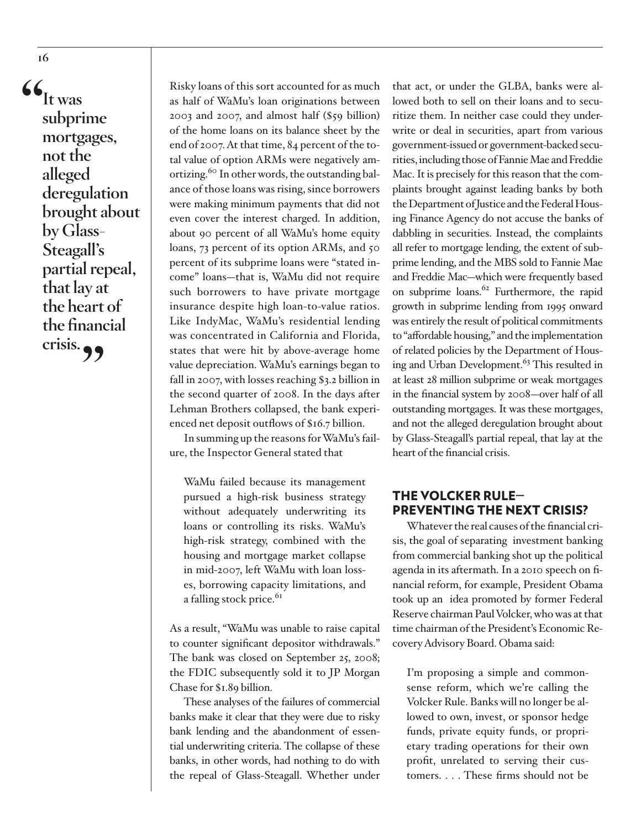**"It was subprime mortgages, not the alleged deregulation brought about by Glass-Steagall's partial repeal, that lay at the heart of the financial crisis."**

Risky loans of this sort accounted for as much as half of WaMu's loan originations between 2003 and 2007, and almost half (\$59 billion) of the home loans on its balance sheet by the end of 2007. At that time, 84 percent of the total value of option ARMs were negatively amortizing.<sup>60</sup> In other words, the outstanding balance of those loans was rising, since borrowers were making minimum payments that did not even cover the interest charged. In addition, about 90 percent of all WaMu's home equity loans, 73 percent of its option ARMs, and 50 percent of its subprime loans were "stated income" loans—that is, WaMu did not require such borrowers to have private mortgage insurance despite high loan-to-value ratios. Like IndyMac, WaMu's residential lending was concentrated in California and Florida, states that were hit by above-average home value depreciation. WaMu's earnings began to fall in 2007, with losses reaching \$3.2 billion in the second quarter of 2008. In the days after Lehman Brothers collapsed, the bank experienced net deposit outflows of \$16.7 billion.

In summing up the reasons for WaMu's failure, the Inspector General stated that

WaMu failed because its management pursued a high-risk business strategy without adequately underwriting its loans or controlling its risks. WaMu's high-risk strategy, combined with the housing and mortgage market collapse in mid-2007, left WaMu with loan losses, borrowing capacity limitations, and a falling stock price.<sup>61</sup>

As a result, "WaMu was unable to raise capital to counter significant depositor withdrawals." The bank was closed on September 25, 2008; the FDIC subsequently sold it to JP Morgan Chase for \$1.89 billion.

These analyses of the failures of commercial banks make it clear that they were due to risky bank lending and the abandonment of essential underwriting criteria. The collapse of these banks, in other words, had nothing to do with the repeal of Glass-Steagall. Whether under

that act, or under the GLBA, banks were allowed both to sell on their loans and to securitize them. In neither case could they underwrite or deal in securities, apart from various government-issued or government-backed securities, including those of Fannie Mae and Freddie Mac. It is precisely for this reason that the complaints brought against leading banks by both the Department of Justice and the Federal Housing Finance Agency do not accuse the banks of dabbling in securities. Instead, the complaints all refer to mortgage lending, the extent of subprime lending, and the MBS sold to Fannie Mae and Freddie Mac—which were frequently based on subprime loans.<sup>62</sup> Furthermore, the rapid growth in subprime lending from 1995 onward was entirely the result of political commitments to "affordable housing," and the implementation of related policies by the Department of Housing and Urban Development.<sup>63</sup> This resulted in at least 28 million subprime or weak mortgages in the financial system by 2008—over half of all outstanding mortgages. It was these mortgages, and not the alleged deregulation brought about by Glass-Steagall's partial repeal, that lay at the heart of the financial crisis.

#### THE VOLCKER RULE— PREVENTING THE NEXT CRISIS?

Whatever the real causes of the financial crisis, the goal of separating investment banking from commercial banking shot up the political agenda in its aftermath. In a 2010 speech on financial reform, for example, President Obama took up an idea promoted by former Federal Reserve chairman Paul Volcker, who was at that time chairman of the President's Economic Recovery Advisory Board. Obama said:

I'm proposing a simple and commonsense reform, which we're calling the Volcker Rule. Banks will no longer be allowed to own, invest, or sponsor hedge funds, private equity funds, or proprietary trading operations for their own profit, unrelated to serving their customers. . . . These firms should not be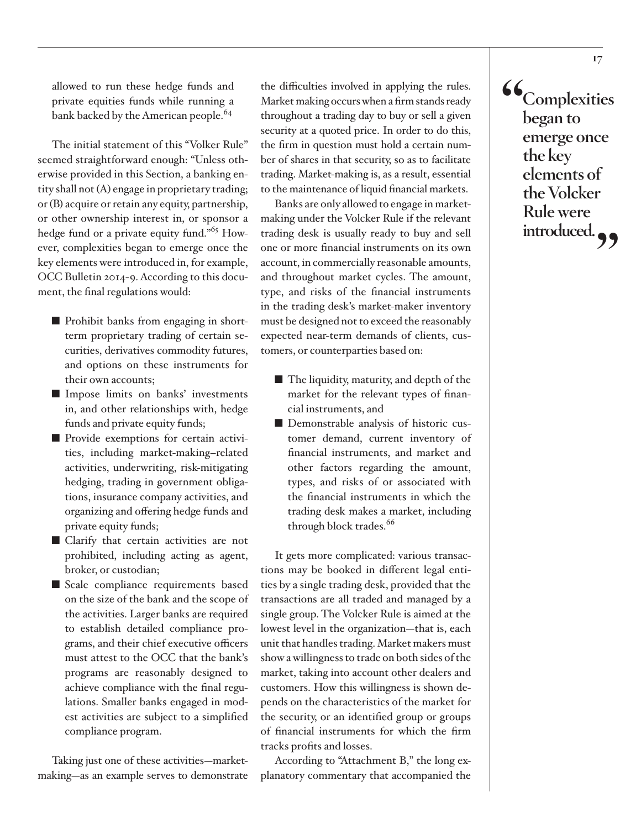allowed to run these hedge funds and private equities funds while running a bank backed by the American people.<sup>64</sup>

The initial statement of this "Volker Rule" seemed straightforward enough: "Unless otherwise provided in this Section, a banking entity shall not (A) engage in proprietary trading; or (B) acquire or retain any equity, partnership, or other ownership interest in, or sponsor a hedge fund or a private equity fund."65 However, complexities began to emerge once the key elements were introduced in, for example, OCC Bulletin 2014-9. According to this document, the final regulations would:

- Prohibit banks from engaging in shortterm proprietary trading of certain securities, derivatives commodity futures, and options on these instruments for their own accounts;
- Impose limits on banks' investments in, and other relationships with, hedge funds and private equity funds;
- Provide exemptions for certain activities, including market-making–related activities, underwriting, risk-mitigating hedging, trading in government obligations, insurance company activities, and organizing and offering hedge funds and private equity funds;
- Clarify that certain activities are not prohibited, including acting as agent, broker, or custodian;
- Scale compliance requirements based on the size of the bank and the scope of the activities. Larger banks are required to establish detailed compliance programs, and their chief executive officers must attest to the OCC that the bank's programs are reasonably designed to achieve compliance with the final regulations. Smaller banks engaged in modest activities are subject to a simplified compliance program.

Taking just one of these activities—marketmaking—as an example serves to demonstrate the difficulties involved in applying the rules. Market making occurs when a firm stands ready throughout a trading day to buy or sell a given security at a quoted price. In order to do this, the firm in question must hold a certain number of shares in that security, so as to facilitate trading. Market-making is, as a result, essential to the maintenance of liquid financial markets.

Banks are only allowed to engage in marketmaking under the Volcker Rule if the relevant trading desk is usually ready to buy and sell one or more financial instruments on its own account, in commercially reasonable amounts, and throughout market cycles. The amount, type, and risks of the financial instruments in the trading desk's market-maker inventory must be designed not to exceed the reasonably expected near-term demands of clients, customers, or counterparties based on:

- The liquidity, maturity, and depth of the market for the relevant types of financial instruments, and
- Demonstrable analysis of historic customer demand, current inventory of financial instruments, and market and other factors regarding the amount, types, and risks of or associated with the financial instruments in which the trading desk makes a market, including through block trades.<sup>66</sup>

It gets more complicated: various transactions may be booked in different legal entities by a single trading desk, provided that the transactions are all traded and managed by a single group. The Volcker Rule is aimed at the lowest level in the organization—that is, each unit that handles trading. Market makers must show a willingness to trade on both sides of the market, taking into account other dealers and customers. How this willingness is shown depends on the characteristics of the market for the security, or an identified group or groups of financial instruments for which the firm tracks profits and losses.

According to "Attachment B," the long explanatory commentary that accompanied the **"Complexities began to emerge once the key elements of the Volcker Rule were**  introduced.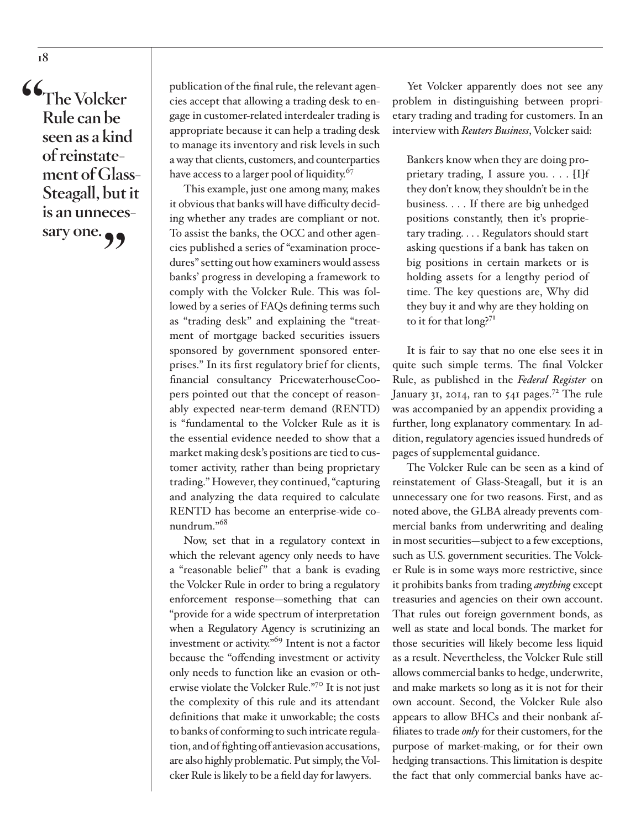**"The Volcker Rule can be seen as a kind of reinstatement of Glass-Steagall, but it is an unneces**sary one.<sup>99</sup>

publication of the final rule, the relevant agencies accept that allowing a trading desk to engage in customer-related interdealer trading is appropriate because it can help a trading desk to manage its inventory and risk levels in such a way that clients, customers, and counterparties have access to a larger pool of liquidity.<sup>67</sup>

This example, just one among many, makes it obvious that banks will have difficulty deciding whether any trades are compliant or not. To assist the banks, the OCC and other agencies published a series of "examination procedures" setting out how examiners would assess banks' progress in developing a framework to comply with the Volcker Rule. This was followed by a series of FAQs defining terms such as "trading desk" and explaining the "treatment of mortgage backed securities issuers sponsored by government sponsored enterprises." In its first regulatory brief for clients, financial consultancy PricewaterhouseCoopers pointed out that the concept of reasonably expected near-term demand (RENTD) is "fundamental to the Volcker Rule as it is the essential evidence needed to show that a market making desk's positions are tied to customer activity, rather than being proprietary trading." However, they continued, "capturing and analyzing the data required to calculate RENTD has become an enterprise-wide conundrum."68

Now, set that in a regulatory context in which the relevant agency only needs to have a "reasonable belief" that a bank is evading the Volcker Rule in order to bring a regulatory enforcement response—something that can "provide for a wide spectrum of interpretation when a Regulatory Agency is scrutinizing an investment or activity."69 Intent is not a factor because the "offending investment or activity only needs to function like an evasion or otherwise violate the Volcker Rule."70 It is not just the complexity of this rule and its attendant definitions that make it unworkable; the costs to banks of conforming to such intricate regulation, and of fighting off antievasion accusations, are also highly problematic. Put simply, the Volcker Rule is likely to be a field day for lawyers.

Yet Volcker apparently does not see any problem in distinguishing between proprietary trading and trading for customers. In an interview with *Reuters Business*, Volcker said:

Bankers know when they are doing proprietary trading, I assure you. . . . [I]f they don't know, they shouldn't be in the business. . . . If there are big unhedged positions constantly, then it's proprietary trading. . . . Regulators should start asking questions if a bank has taken on big positions in certain markets or is holding assets for a lengthy period of time. The key questions are, Why did they buy it and why are they holding on to it for that long?<sup>71</sup>

It is fair to say that no one else sees it in quite such simple terms. The final Volcker Rule, as published in the *Federal Register* on January 31, 2014, ran to 541 pages.<sup>72</sup> The rule was accompanied by an appendix providing a further, long explanatory commentary. In addition, regulatory agencies issued hundreds of pages of supplemental guidance.

The Volcker Rule can be seen as a kind of reinstatement of Glass-Steagall, but it is an unnecessary one for two reasons. First, and as noted above, the GLBA already prevents commercial banks from underwriting and dealing in most securities—subject to a few exceptions, such as U.S. government securities. The Volcker Rule is in some ways more restrictive, since it prohibits banks from trading *anything* except treasuries and agencies on their own account. That rules out foreign government bonds, as well as state and local bonds. The market for those securities will likely become less liquid as a result. Nevertheless, the Volcker Rule still allows commercial banks to hedge, underwrite, and make markets so long as it is not for their own account. Second, the Volcker Rule also appears to allow BHCs and their nonbank affiliates to trade *only* for their customers, for the purpose of market-making, or for their own hedging transactions. This limitation is despite the fact that only commercial banks have ac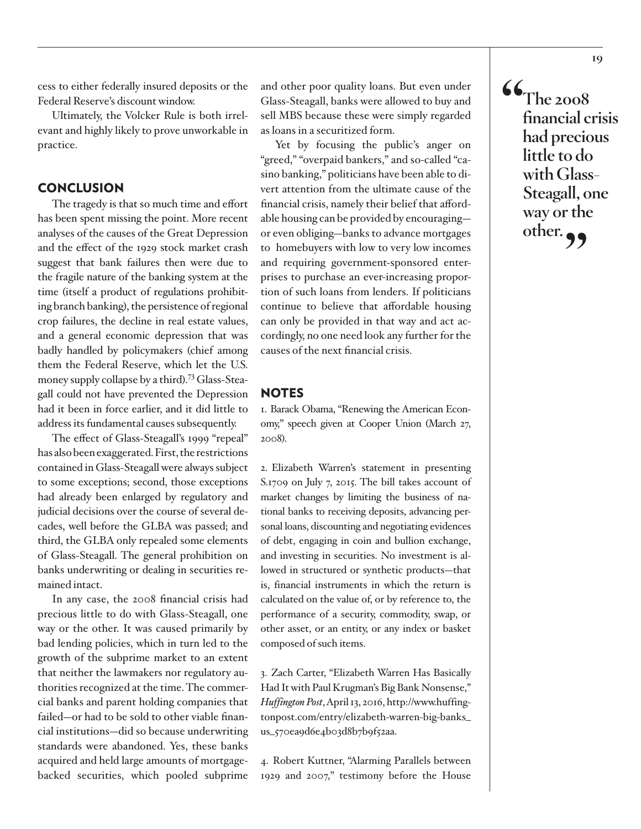cess to either federally insured deposits or the Federal Reserve's discount window.

Ultimately, the Volcker Rule is both irrelevant and highly likely to prove unworkable in practice.

#### **CONCLUSION**

The tragedy is that so much time and effort has been spent missing the point. More recent analyses of the causes of the Great Depression and the effect of the 1929 stock market crash suggest that bank failures then were due to the fragile nature of the banking system at the time (itself a product of regulations prohibiting branch banking), the persistence of regional crop failures, the decline in real estate values, and a general economic depression that was badly handled by policymakers (chief among them the Federal Reserve, which let the U.S. money supply collapse by a third).<sup>73</sup> Glass-Steagall could not have prevented the Depression had it been in force earlier, and it did little to address its fundamental causes subsequently.

The effect of Glass-Steagall's 1999 "repeal" has also been exaggerated. First, the restrictions contained in Glass-Steagall were always subject to some exceptions; second, those exceptions had already been enlarged by regulatory and judicial decisions over the course of several decades, well before the GLBA was passed; and third, the GLBA only repealed some elements of Glass-Steagall. The general prohibition on banks underwriting or dealing in securities remained intact.

In any case, the 2008 financial crisis had precious little to do with Glass-Steagall, one way or the other. It was caused primarily by bad lending policies, which in turn led to the growth of the subprime market to an extent that neither the lawmakers nor regulatory authorities recognized at the time. The commercial banks and parent holding companies that failed—or had to be sold to other viable financial institutions—did so because underwriting standards were abandoned. Yes, these banks acquired and held large amounts of mortgagebacked securities, which pooled subprime

and other poor quality loans. But even under Glass-Steagall, banks were allowed to buy and sell MBS because these were simply regarded as loans in a securitized form.

Yet by focusing the public's anger on "greed," "overpaid bankers," and so-called "casino banking," politicians have been able to divert attention from the ultimate cause of the financial crisis, namely their belief that affordable housing can be provided by encouraging or even obliging—banks to advance mortgages to homebuyers with low to very low incomes and requiring government-sponsored enterprises to purchase an ever-increasing proportion of such loans from lenders. If politicians continue to believe that affordable housing can only be provided in that way and act accordingly, no one need look any further for the causes of the next financial crisis.

#### **NOTES**

1. Barack Obama, "Renewing the American Economy," speech given at Cooper Union (March 27, 2008).

2. Elizabeth Warren's statement in presenting S.1709 on July 7, 2015. The bill takes account of market changes by limiting the business of national banks to receiving deposits, advancing personal loans, discounting and negotiating evidences of debt, engaging in coin and bullion exchange, and investing in securities. No investment is allowed in structured or synthetic products—that is, financial instruments in which the return is calculated on the value of, or by reference to, the performance of a security, commodity, swap, or other asset, or an entity, or any index or basket composed of such items.

3. Zach Carter, "Elizabeth Warren Has Basically Had It with Paul Krugman's Big Bank Nonsense," *Huffington Post*, April 13, 2016, http://www.huffingtonpost.com/entry/elizabeth-warren-big-banks\_ us\_570ea9d6e4b03d8b7b9f52aa.

4. Robert Kuttner, "Alarming Parallels between 1929 and 2007," testimony before the House **"The 2008 financial crisis had precious little to do with Glass-Steagall, one way or the**  other.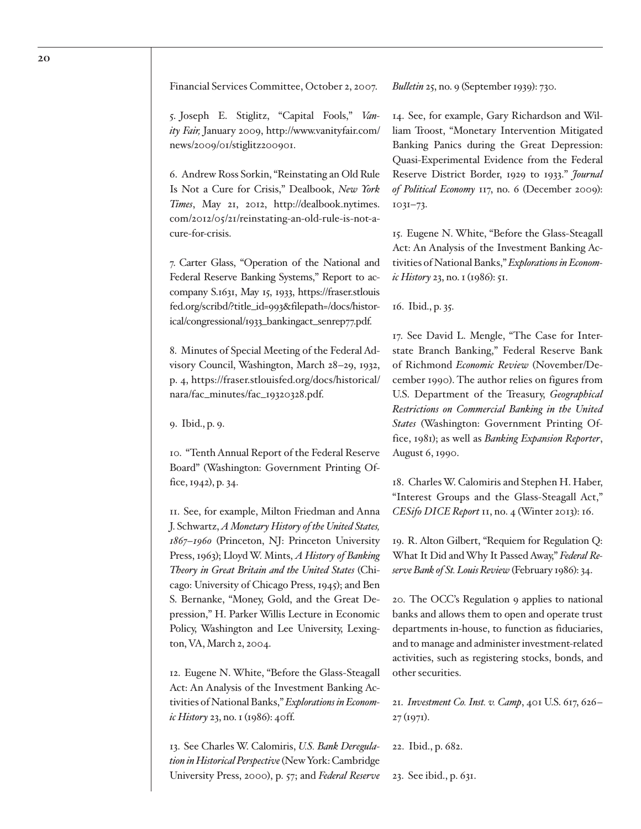Financial Services Committee, October 2, 2007.

5. Joseph E. Stiglitz, "Capital Fools," *Vanity Fair,* January 2009, http://www.vanityfair.com/ news/2009/01/stiglitz200901.

6. Andrew Ross Sorkin, "Reinstating an Old Rule Is Not a Cure for Crisis," Dealbook, *New York Times*, May 21, 2012, http://dealbook.nytimes. com/2012/05/21/reinstating-an-old-rule-is-not-acure-for-crisis.

7. Carter Glass, "Operation of the National and Federal Reserve Banking Systems," Report to accompany S.1631, May 15, 1933, https://fraser.stlouis fed.org/scribd/?title\_id=993&filepath=/docs/historical/congressional/1933\_bankingact\_senrep77.pdf.

8. Minutes of Special Meeting of the Federal Advisory Council, Washington, March 28–29, 1932, p. 4, https://fraser.stlouisfed.org/docs/historical/ nara/fac\_minutes/fac\_19320328.pdf.

9. Ibid., p. 9.

10. "Tenth Annual Report of the Federal Reserve Board" (Washington: Government Printing Office, 1942), p. 34.

11. See, for example, Milton Friedman and Anna J. Schwartz, *A Monetary History of the United States, 1867–1960* (Princeton, NJ: Princeton University Press, 1963); Lloyd W. Mints, *A History of Banking Theory in Great Britain and the United States* (Chicago: University of Chicago Press, 1945); and Ben S. Bernanke, "Money, Gold, and the Great Depression," H. Parker Willis Lecture in Economic Policy, Washington and Lee University, Lexington, VA, March 2, 2004.

12. Eugene N. White, "Before the Glass-Steagall Act: An Analysis of the Investment Banking Activities of National Banks," *Explorations in Economic History* 23, no. 1 (1986): 40ff.

13. See Charles W. Calomiris, *U.S. Bank Deregulation in Historical Perspective* (New York: Cambridge University Press, 2000), p. 57; and *Federal Reserve*  *Bulletin* 25, no. 9 (September 1939): 730.

14. See, for example, Gary Richardson and William Troost, "Monetary Intervention Mitigated Banking Panics during the Great Depression: Quasi-Experimental Evidence from the Federal Reserve District Border, 1929 to 1933." *Journal of Political Economy* 117, no. 6 (December 2009): 1031–73.

15. Eugene N. White, "Before the Glass-Steagall Act: An Analysis of the Investment Banking Activities of National Banks," *Explorations in Economic History* 23, no. 1 (1986): 51.

16. Ibid., p. 35.

17. See David L. Mengle, "The Case for Interstate Branch Banking," Federal Reserve Bank of Richmond *Economic Review* (November/December 1990). The author relies on figures from U.S. Department of the Treasury, *Geographical Restrictions on Commercial Banking in the United States* (Washington: Government Printing Office, 1981); as well as *Banking Expansion Reporter*, August 6, 1990.

18. Charles W. Calomiris and Stephen H. Haber, "Interest Groups and the Glass-Steagall Act," *CESifo DICE Report* 11, no. 4 (Winter 2013): 16.

19. R. Alton Gilbert, "Requiem for Regulation Q: What It Did and Why It Passed Away," *Federal Re*serve Bank of St. Louis Review (February 1986): 34.

20. The OCC's Regulation 9 applies to national banks and allows them to open and operate trust departments in-house, to function as fiduciaries, and to manage and administer investment-related activities, such as registering stocks, bonds, and other securities.

21. *Investment Co. Inst. v. Camp*, 401 U.S. 617, 626– 27 (1971).

22. Ibid., p. 682.

23. See ibid., p. 631.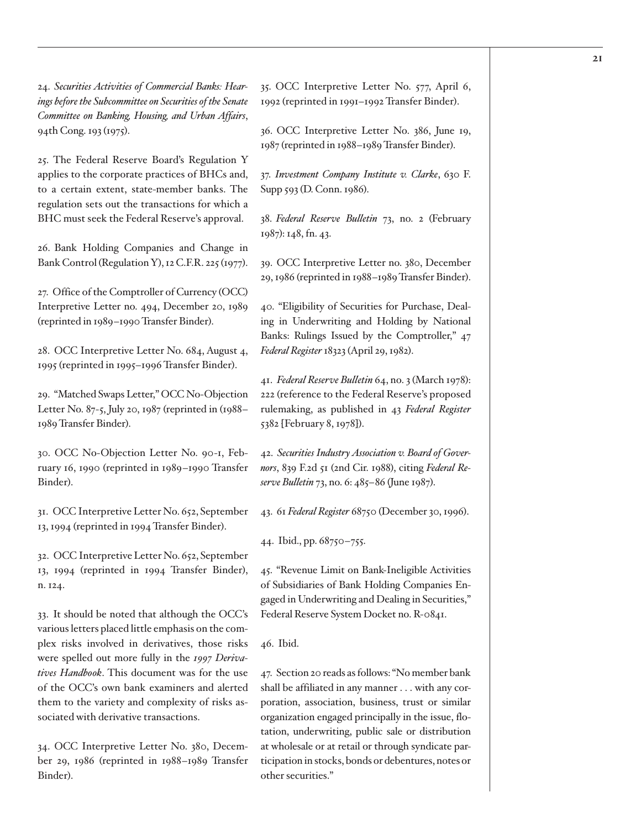24. *Securities Activities of Commercial Banks: Hearings before the Subcommittee on Securities of the Senate Committee on Banking, Housing, and Urban Affairs*, 94th Cong. 193 (1975).

25. The Federal Reserve Board's Regulation Y applies to the corporate practices of BHCs and, to a certain extent, state-member banks. The regulation sets out the transactions for which a BHC must seek the Federal Reserve's approval.

26. Bank Holding Companies and Change in Bank Control (Regulation Y), 12 C.F.R. 225 (1977).

27. Office of the Comptroller of Currency (OCC) Interpretive Letter no. 494, December 20, 1989 (reprinted in 1989–1990 Transfer Binder).

28. OCC Interpretive Letter No. 684, August 4, 1995 (reprinted in 1995–1996 Transfer Binder).

29. "Matched Swaps Letter," OCC No-Objection Letter No. 87-5, July 20, 1987 (reprinted in (1988– 1989 Transfer Binder).

30. OCC No-Objection Letter No. 90-1, February 16, 1990 (reprinted in 1989–1990 Transfer Binder).

31. OCC Interpretive Letter No. 652, September 13, 1994 (reprinted in 1994 Transfer Binder).

32. OCC Interpretive Letter No. 652, September 13, 1994 (reprinted in 1994 Transfer Binder), n. 124.

33. It should be noted that although the OCC's various letters placed little emphasis on the complex risks involved in derivatives, those risks were spelled out more fully in the *1997 Derivatives Handbook*. This document was for the use of the OCC's own bank examiners and alerted them to the variety and complexity of risks associated with derivative transactions.

34. OCC Interpretive Letter No. 380, December 29, 1986 (reprinted in 1988–1989 Transfer Binder).

35. OCC Interpretive Letter No. 577, April 6, 1992 (reprinted in 1991–1992 Transfer Binder).

36. OCC Interpretive Letter No. 386, June 19, 1987 (reprinted in 1988–1989 Transfer Binder).

37. *Investment Company Institute v. Clarke*, 630 F. Supp 593 (D. Conn. 1986).

38. *Federal Reserve Bulletin* 73, no. 2 (February 1987): 148, fn. 43.

39. OCC Interpretive Letter no. 380, December 29, 1986 (reprinted in 1988–1989 Transfer Binder).

40. "Eligibility of Securities for Purchase, Dealing in Underwriting and Holding by National Banks: Rulings Issued by the Comptroller," 47 *Federal Register* 18323 (April 29, 1982).

41. *Federal Reserve Bulletin* 64, no. 3 (March 1978): 222 (reference to the Federal Reserve's proposed rulemaking, as published in 43 *Federal Register* 5382 [February 8, 1978]).

42. *Securities Industry Association v. Board of Governors*, 839 F.2d 51 (2nd Cir. 1988), citing *Federal Reserve Bulletin* 73, no. 6: 485–86 (June 1987).

43. 61 *Federal Register* 68750 (December 30, 1996).

44. Ibid., pp. 68750–755.

45. "Revenue Limit on Bank-Ineligible Activities of Subsidiaries of Bank Holding Companies Engaged in Underwriting and Dealing in Securities," Federal Reserve System Docket no. R-0841.

46. Ibid.

47. Section 20 reads as follows: "No member bank shall be affiliated in any manner . . . with any corporation, association, business, trust or similar organization engaged principally in the issue, flotation, underwriting, public sale or distribution at wholesale or at retail or through syndicate participation in stocks, bonds or debentures, notes or other securities."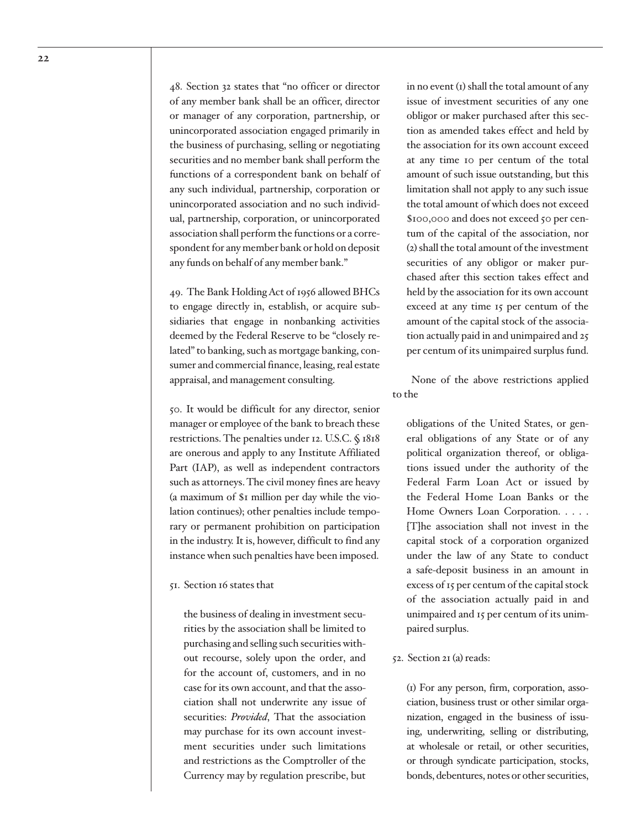48. Section 32 states that "no officer or director of any member bank shall be an officer, director or manager of any corporation, partnership, or unincorporated association engaged primarily in the business of purchasing, selling or negotiating securities and no member bank shall perform the functions of a correspondent bank on behalf of any such individual, partnership, corporation or unincorporated association and no such individual, partnership, corporation, or unincorporated association shall perform the functions or a correspondent for any member bank or hold on deposit any funds on behalf of any member bank."

49. The Bank Holding Act of 1956 allowed BHCs to engage directly in, establish, or acquire subsidiaries that engage in nonbanking activities deemed by the Federal Reserve to be "closely related" to banking, such as mortgage banking, consumer and commercial finance, leasing, real estate appraisal, and management consulting.

50. It would be difficult for any director, senior manager or employee of the bank to breach these restrictions. The penalties under 12. U.S.C. § 1818 are onerous and apply to any Institute Affiliated Part (IAP), as well as independent contractors such as attorneys. The civil money fines are heavy (a maximum of \$1 million per day while the violation continues); other penalties include temporary or permanent prohibition on participation in the industry. It is, however, difficult to find any instance when such penalties have been imposed.

#### 51. Section 16 states that

the business of dealing in investment securities by the association shall be limited to purchasing and selling such securities without recourse, solely upon the order, and for the account of, customers, and in no case for its own account, and that the association shall not underwrite any issue of securities: *Provided*, That the association may purchase for its own account investment securities under such limitations and restrictions as the Comptroller of the Currency may by regulation prescribe, but

in no event (1) shall the total amount of any issue of investment securities of any one obligor or maker purchased after this section as amended takes effect and held by the association for its own account exceed at any time 10 per centum of the total amount of such issue outstanding, but this limitation shall not apply to any such issue the total amount of which does not exceed \$100,000 and does not exceed 50 per centum of the capital of the association, nor (2) shall the total amount of the investment securities of any obligor or maker purchased after this section takes effect and held by the association for its own account exceed at any time 15 per centum of the amount of the capital stock of the association actually paid in and unimpaired and 25 per centum of its unimpaired surplus fund.

None of the above restrictions applied to the

obligations of the United States, or general obligations of any State or of any political organization thereof, or obligations issued under the authority of the Federal Farm Loan Act or issued by the Federal Home Loan Banks or the Home Owners Loan Corporation. . . . . [T]he association shall not invest in the capital stock of a corporation organized under the law of any State to conduct a safe-deposit business in an amount in excess of 15 per centum of the capital stock of the association actually paid in and unimpaired and 15 per centum of its unimpaired surplus.

#### 52. Section 21 (a) reads:

(1) For any person, firm, corporation, association, business trust or other similar organization, engaged in the business of issuing, underwriting, selling or distributing, at wholesale or retail, or other securities, or through syndicate participation, stocks, bonds, debentures, notes or other securities,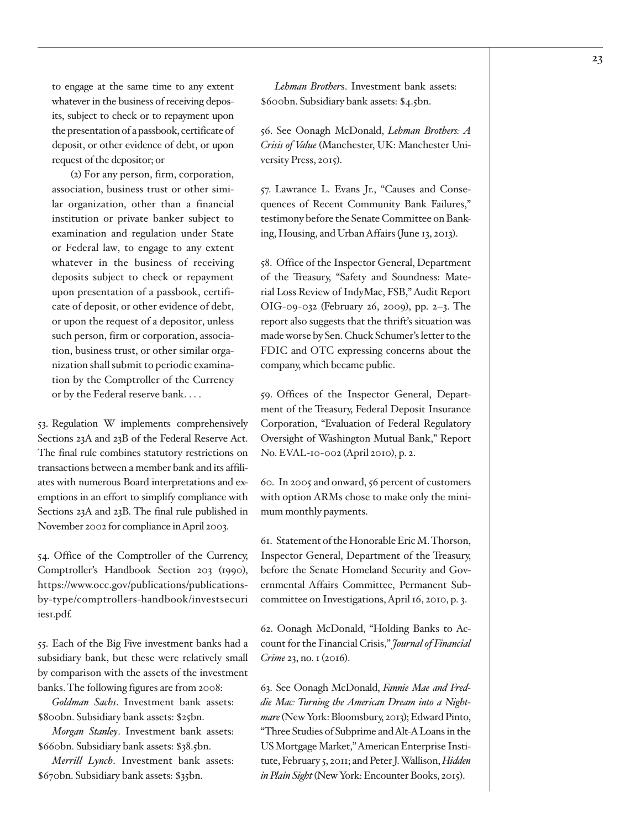to engage at the same time to any extent whatever in the business of receiving deposits, subject to check or to repayment upon the presentation of a passbook, certificate of deposit, or other evidence of debt, or upon request of the depositor; or

(2) For any person, firm, corporation, association, business trust or other similar organization, other than a financial institution or private banker subject to examination and regulation under State or Federal law, to engage to any extent whatever in the business of receiving deposits subject to check or repayment upon presentation of a passbook, certificate of deposit, or other evidence of debt, or upon the request of a depositor, unless such person, firm or corporation, association, business trust, or other similar organization shall submit to periodic examination by the Comptroller of the Currency or by the Federal reserve bank. . . .

53. Regulation W implements comprehensively Sections 23A and 23B of the Federal Reserve Act. The final rule combines statutory restrictions on transactions between a member bank and its affiliates with numerous Board interpretations and exemptions in an effort to simplify compliance with Sections 23A and 23B. The final rule published in November 2002 for compliance in April 2003.

54. Office of the Comptroller of the Currency, Comptroller's Handbook Section 203 (1990), https://www.occ.gov/publications/publicationsby-type/comptrollers-handbook/investsecuri ies1.pdf.

55. Each of the Big Five investment banks had a subsidiary bank, but these were relatively small by comparison with the assets of the investment banks. The following figures are from 2008:

*Goldman Sachs*. Investment bank assets: \$800bn. Subsidiary bank assets: \$25bn.

*Morgan Stanley*. Investment bank assets: \$660bn. Subsidiary bank assets: \$38.5bn.

*Merrill Lynch*. Investment bank assets: \$670bn. Subsidiary bank assets: \$35bn.

*Lehman Brother*s. Investment bank assets: \$600bn. Subsidiary bank assets: \$4.5bn.

56. See Oonagh McDonald, *Lehman Brothers: A Crisis of Value* (Manchester, UK: Manchester University Press, 2015).

57. Lawrance L. Evans Jr., "Causes and Consequences of Recent Community Bank Failures," testimony before the Senate Committee on Banking, Housing, and Urban Affairs (June 13, 2013).

58. Office of the Inspector General, Department of the Treasury, "Safety and Soundness: Material Loss Review of IndyMac, FSB," Audit Report OIG-09-032 (February 26, 2009), pp. 2–3. The report also suggests that the thrift's situation was made worse by Sen. Chuck Schumer's letter to the FDIC and OTC expressing concerns about the company, which became public.

59. Offices of the Inspector General, Department of the Treasury, Federal Deposit Insurance Corporation, "Evaluation of Federal Regulatory Oversight of Washington Mutual Bank," Report No. EVAL-10-002 (April 2010), p. 2.

60. In 2005 and onward, 56 percent of customers with option ARMs chose to make only the minimum monthly payments.

61. Statement of the Honorable Eric M. Thorson, Inspector General, Department of the Treasury, before the Senate Homeland Security and Governmental Affairs Committee, Permanent Subcommittee on Investigations, April 16, 2010, p. 3.

62. Oonagh McDonald, "Holding Banks to Account for the Financial Crisis," *Journal of Financial Crime* 23, no. 1 (2016).

63. See Oonagh McDonald, *Fannie Mae and Freddie Mac: Turning the American Dream into a Nightmare* (New York: Bloomsbury, 2013); Edward Pinto, "Three Studies of Subprime and Alt-A Loans in the US Mortgage Market," American Enterprise Institute, February 5, 2011; and Peter J. Wallison, *Hidden in Plain Sight* (New York: Encounter Books, 2015).